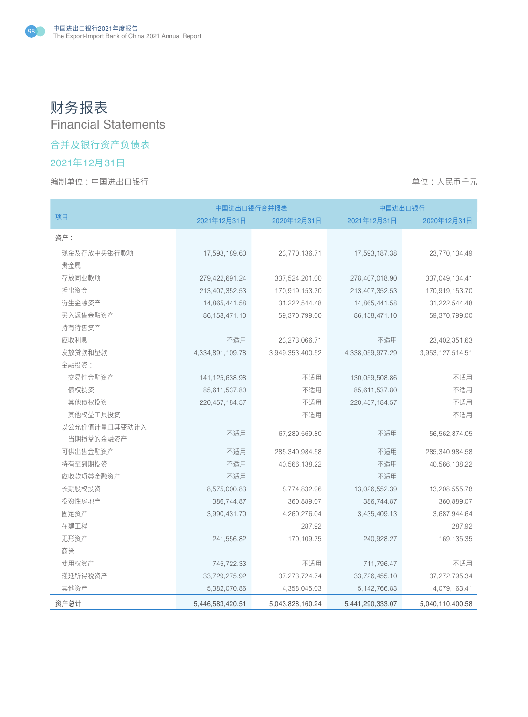# 财务报表 Financial Statements

## 合并及银行资产负债表

# 2021年12月31日

编制单位:中国进出口银行 着心的 : 我们在我们的时候,我们的时候,我们的时候,我们的时候,我们的时候,我们不会

|               | 中国进出口银行合并报表       |                  | 中国进出口银行          |                  |  |
|---------------|-------------------|------------------|------------------|------------------|--|
| 项目            | 2021年12月31日       | 2020年12月31日      | 2021年12月31日      | 2020年12月31日      |  |
| 资产:           |                   |                  |                  |                  |  |
| 现金及存放中央银行款项   | 17,593,189.60     | 23,770,136.71    | 17,593,187.38    | 23,770,134.49    |  |
| 贵金属           |                   |                  |                  |                  |  |
| 存放同业款项        | 279,422,691.24    | 337,524,201.00   | 278,407,018.90   | 337,049,134.41   |  |
| 拆出资金          | 213,407,352.53    | 170,919,153.70   | 213,407,352.53   | 170,919,153.70   |  |
| 衍生金融资产        | 14,865,441.58     | 31,222,544.48    | 14,865,441.58    | 31,222,544.48    |  |
| 买入返售金融资产      | 86, 158, 471. 10  | 59,370,799.00    | 86, 158, 471.10  | 59,370,799.00    |  |
| 持有待售资产        |                   |                  |                  |                  |  |
| 应收利息          | 不适用               | 23,273,066.71    | 不适用              | 23,402,351.63    |  |
| 发放贷款和垫款       | 4,334,891,109.78  | 3,949,353,400.52 | 4,338,059,977.29 | 3,953,127,514.51 |  |
| 金融投资:         |                   |                  |                  |                  |  |
| 交易性金融资产       | 141, 125, 638. 98 | 不适用              | 130,059,508.86   | 不适用              |  |
| 债权投资          | 85,611,537.80     | 不适用              | 85,611,537.80    | 不适用              |  |
| 其他债权投资        | 220, 457, 184. 57 | 不适用              | 220, 457, 184.57 | 不适用              |  |
| 其他权益工具投资      |                   | 不适用              |                  | 不适用              |  |
| 以公允价值计量且其变动计入 |                   |                  |                  |                  |  |
| 当期损益的金融资产     | 不适用               | 67,289,569.80    | 不适用              | 56,562,874.05    |  |
| 可供出售金融资产      | 不适用               | 285,340,984.58   | 不适用              | 285,340,984.58   |  |
| 持有至到期投资       | 不适用               | 40,566,138.22    | 不适用              | 40,566,138.22    |  |
| 应收款项类金融资产     | 不适用               |                  | 不适用              |                  |  |
| 长期股权投资        | 8,575,000.83      | 8,774,832.96     | 13,026,552.39    | 13,208,555.78    |  |
| 投资性房地产        | 386,744.87        | 360,889.07       | 386,744.87       | 360,889.07       |  |
| 固定资产          | 3,990,431.70      | 4,260,276.04     | 3,435,409.13     | 3,687,944.64     |  |
| 在建工程          |                   | 287.92           |                  | 287.92           |  |
| 无形资产          | 241,556.82        | 170, 109. 75     | 240,928.27       | 169, 135.35      |  |
| 商誉            |                   |                  |                  |                  |  |
| 使用权资产         | 745,722.33        | 不适用              | 711,796.47       | 不适用              |  |
| 递延所得税资产       | 33,729,275.92     | 37, 273, 724. 74 | 33,726,455.10    | 37,272,795.34    |  |
| 其他资产          | 5,382,070.86      | 4,358,045.03     | 5, 142, 766.83   | 4,079,163.41     |  |
| 资产总计          | 5,446,583,420.51  | 5,043,828,160.24 | 5,441,290,333.07 | 5,040,110,400.58 |  |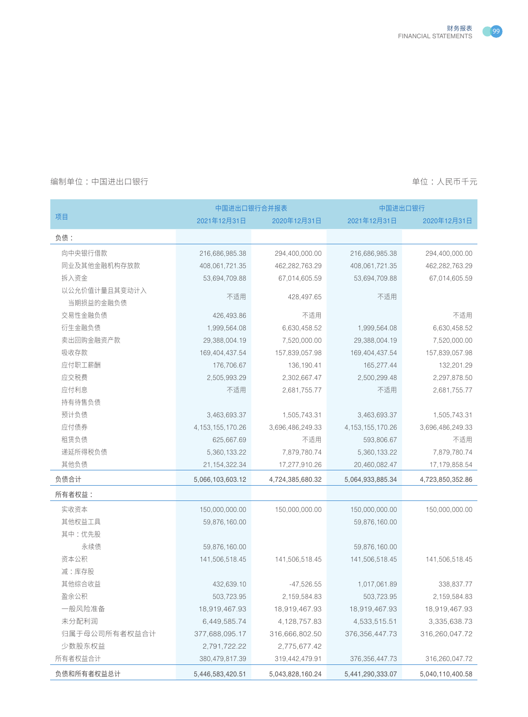

|               | 中国进出口银行合并报表         |                  |                     | 中国进出口银行          |  |
|---------------|---------------------|------------------|---------------------|------------------|--|
| 项目            | 2021年12月31日         | 2020年12月31日      | 2021年12月31日         | 2020年12月31日      |  |
| 负债:           |                     |                  |                     |                  |  |
| 向中央银行借款       | 216,686,985.38      | 294,400,000.00   | 216,686,985.38      | 294,400,000.00   |  |
| 同业及其他金融机构存放款  | 408,061,721.35      | 462,282,763.29   | 408,061,721.35      | 462,282,763.29   |  |
| 拆入资金          | 53,694,709.88       | 67,014,605.59    | 53,694,709.88       | 67,014,605.59    |  |
| 以公允价值计量且其变动计入 |                     |                  |                     |                  |  |
| 当期损益的金融负债     | 不适用                 | 428,497.65       | 不适用                 |                  |  |
| 交易性金融负债       | 426,493.86          | 不适用              |                     | 不适用              |  |
| 衍生金融负债        | 1,999,564.08        | 6,630,458.52     | 1,999,564.08        | 6,630,458.52     |  |
| 卖出回购金融资产款     | 29,388,004.19       | 7,520,000.00     | 29,388,004.19       | 7,520,000.00     |  |
| 吸收存款          | 169,404,437.54      | 157,839,057.98   | 169,404,437.54      | 157,839,057.98   |  |
| 应付职工薪酬        | 176,706.67          | 136, 190.41      | 165,277.44          | 132,201.29       |  |
| 应交税费          | 2,505,993.29        | 2,302,667.47     | 2,500,299.48        | 2,297,878.50     |  |
| 应付利息          | 不适用                 | 2,681,755.77     | 不适用                 | 2,681,755.77     |  |
| 持有待售负债        |                     |                  |                     |                  |  |
| 预计负债          | 3,463,693.37        | 1,505,743.31     | 3,463,693.37        | 1,505,743.31     |  |
| 应付债券          | 4, 153, 155, 170.26 | 3,696,486,249.33 | 4, 153, 155, 170.26 | 3,696,486,249.33 |  |
| 租赁负债          | 625,667.69          | 不适用              | 593,806.67          | 不适用              |  |
| 递延所得税负债       | 5,360,133.22        | 7,879,780.74     | 5,360,133.22        | 7,879,780.74     |  |
| 其他负债          | 21, 154, 322. 34    | 17,277,910.26    | 20,460,082.47       | 17, 179, 858.54  |  |
| 负债合计          | 5,066,103,603.12    | 4,724,385,680.32 | 5,064,933,885.34    | 4,723,850,352.86 |  |
| 所有者权益:        |                     |                  |                     |                  |  |
| 实收资本          | 150,000,000.00      | 150,000,000.00   | 150,000,000.00      | 150,000,000.00   |  |
| 其他权益工具        | 59,876,160.00       |                  | 59,876,160.00       |                  |  |
| 其中:优先股        |                     |                  |                     |                  |  |
| 永续债           | 59,876,160.00       |                  | 59,876,160.00       |                  |  |
| 资本公积          | 141,506,518.45      | 141,506,518.45   | 141,506,518.45      | 141,506,518.45   |  |
| 减:库存股         |                     |                  |                     |                  |  |
| 其他综合收益        | 432,639.10          | $-47,526.55$     | 1,017,061.89        | 338,837.77       |  |
| 盈余公积          | 503,723.95          | 2,159,584.83     | 503,723.95          | 2,159,584.83     |  |
| 一般风险准备        | 18,919,467.93       | 18,919,467.93    | 18,919,467.93       | 18,919,467.93    |  |
| 未分配利润         | 6,449,585.74        | 4, 128, 757.83   | 4,533,515.51        | 3,335,638.73     |  |
| 归属于母公司所有者权益合计 | 377,688,095.17      | 316,666,802.50   | 376, 356, 447. 73   | 316,260,047.72   |  |
| 少数股东权益        | 2,791,722.22        | 2,775,677.42     |                     |                  |  |
| 所有者权益合计       | 380,479,817.39      | 319,442,479.91   | 376, 356, 447. 73   | 316,260,047.72   |  |
| 负债和所有者权益总计    | 5,446,583,420.51    | 5,043,828,160.24 | 5,441,290,333.07    | 5,040,110,400.58 |  |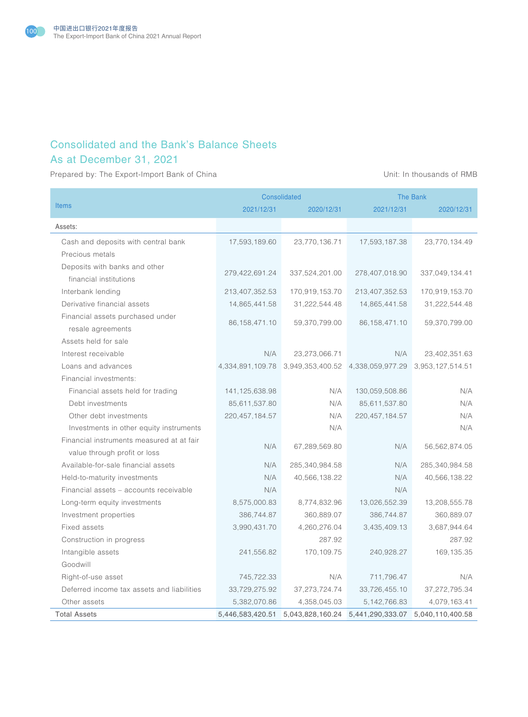

# Consolidated and the Bank's Balance Sheets

# As at December 31, 2021

Prepared by: The Export-Import Bank of China View China Unit: In thousands of RMB

|                                            |                   | <b>Consolidated</b>               | <b>The Bank</b>  |                  |
|--------------------------------------------|-------------------|-----------------------------------|------------------|------------------|
| <b>Items</b>                               | 2021/12/31        | 2020/12/31                        | 2021/12/31       | 2020/12/31       |
| Assets:                                    |                   |                                   |                  |                  |
| Cash and deposits with central bank        | 17,593,189.60     | 23,770,136.71                     | 17,593,187.38    | 23,770,134.49    |
| Precious metals                            |                   |                                   |                  |                  |
| Deposits with banks and other              |                   |                                   |                  |                  |
| financial institutions                     | 279,422,691.24    | 337,524,201.00                    | 278,407,018.90   | 337,049,134.41   |
| Interbank lending                          | 213,407,352.53    | 170,919,153.70                    | 213,407,352.53   | 170,919,153.70   |
| Derivative financial assets                | 14,865,441.58     | 31,222,544.48                     | 14,865,441.58    | 31,222,544.48    |
| Financial assets purchased under           | 86, 158, 471. 10  | 59,370,799.00                     | 86, 158, 471. 10 | 59,370,799.00    |
| resale agreements                          |                   |                                   |                  |                  |
| Assets held for sale                       |                   |                                   |                  |                  |
| Interest receivable                        | N/A               | 23,273,066.71                     | N/A              | 23,402,351.63    |
| Loans and advances                         | 4,334,891,109.78  | 3,949,353,400.52 4,338,059,977.29 |                  | 3,953,127,514.51 |
| Financial investments:                     |                   |                                   |                  |                  |
| Financial assets held for trading          | 141, 125, 638. 98 | N/A                               | 130,059,508.86   | N/A              |
| Debt investments                           | 85,611,537.80     | N/A                               | 85,611,537.80    | N/A              |
| Other debt investments                     | 220, 457, 184. 57 | N/A                               | 220, 457, 184.57 | N/A              |
| Investments in other equity instruments    |                   | N/A                               |                  | N/A              |
| Financial instruments measured at at fair  | N/A               | 67,289,569.80                     | N/A              | 56,562,874.05    |
| value through profit or loss               |                   |                                   |                  |                  |
| Available-for-sale financial assets        | N/A               | 285,340,984.58                    | N/A              | 285,340,984.58   |
| Held-to-maturity investments               | N/A               | 40,566,138.22                     | N/A              | 40,566,138.22    |
| Financial assets - accounts receivable     | N/A               |                                   | N/A              |                  |
| Long-term equity investments               | 8,575,000.83      | 8,774,832.96                      | 13,026,552.39    | 13,208,555.78    |
| Investment properties                      | 386,744.87        | 360,889.07                        | 386,744.87       | 360,889.07       |
| Fixed assets                               | 3,990,431.70      | 4,260,276.04                      | 3,435,409.13     | 3,687,944.64     |
| Construction in progress                   |                   | 287.92                            |                  | 287.92           |
| Intangible assets                          | 241,556.82        | 170,109.75                        | 240,928.27       | 169, 135.35      |
| Goodwill                                   |                   |                                   |                  |                  |
| Right-of-use asset                         | 745,722.33        | N/A                               | 711,796.47       | N/A              |
| Deferred income tax assets and liabilities | 33,729,275.92     | 37, 273, 724. 74                  | 33,726,455.10    | 37,272,795.34    |
| Other assets                               | 5,382,070.86      | 4,358,045.03                      | 5, 142, 766.83   | 4,079,163.41     |
| <b>Total Assets</b>                        | 5,446,583,420.51  | 5,043,828,160.24                  | 5,441,290,333.07 | 5,040,110,400.58 |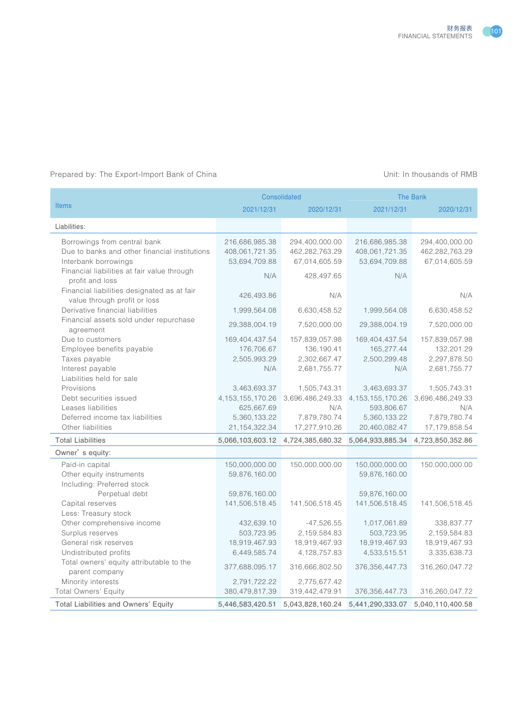

## Prepared by: The Export-Import Bank of China Unit: In thousands of RMB

|                                                                |                     | <b>Consolidated</b> | The Bank            |                  |
|----------------------------------------------------------------|---------------------|---------------------|---------------------|------------------|
| <b>Items</b>                                                   | 2021/12/31          | 2020/12/31          | 2021/12/31          | 2020/12/31       |
| Liabilities:                                                   |                     |                     |                     |                  |
| Borrowings from central bank                                   | 216,686,985.38      | 294,400,000.00      | 216,686,985.38      | 294,400,000.00   |
| Due to banks and other financial institutions                  | 408,061,721.35      | 462,282,763.29      | 408,061,721.35      | 462,282,763.29   |
| Interbank borrowings                                           | 53,694,709.88       | 67,014,605.59       | 53,694,709.88       | 67,014,605.59    |
| Financial liabilities at fair value through                    | N/A                 | 428,497.65          | N/A                 |                  |
| profit and loss<br>Financial liabilities designated as at fair |                     |                     |                     |                  |
| value through profit or loss                                   | 426,493.86          | N/A                 |                     | N/A              |
| Derivative financial liabilities                               | 1,999,564.08        | 6,630,458.52        | 1,999,564.08        | 6,630,458.52     |
| Financial assets sold under repurchase                         |                     |                     |                     |                  |
| agreement                                                      | 29,388,004.19       | 7,520,000.00        | 29,388,004.19       | 7,520,000.00     |
| Due to customers                                               | 169,404,437.54      | 157,839,057.98      | 169,404,437.54      | 157,839,057.98   |
| Employee benefits payable                                      | 176,706.67          | 136, 190.41         | 165,277.44          | 132,201.29       |
| Taxes payable                                                  | 2,505,993.29        | 2,302,667.47        | 2,500,299.48        | 2,297,878.50     |
| Interest payable                                               | N/A                 | 2,681,755.77        | N/A                 | 2,681,755.77     |
| Liabilities held for sale                                      |                     |                     |                     |                  |
| Provisions                                                     | 3,463,693.37        | 1,505,743.31        | 3,463,693.37        | 1,505,743.31     |
| Debt securities issued                                         | 4, 153, 155, 170.26 | 3,696,486,249.33    | 4, 153, 155, 170.26 | 3,696,486,249.33 |
| Leases liabilities                                             | 625,667.69          | N/A                 | 593,806.67          | N/A              |
| Deferred income tax liabilities                                | 5,360,133.22        | 7,879,780.74        | 5,360,133.22        | 7,879,780.74     |
| Other liabilities                                              | 21, 154, 322. 34    | 17,277,910.26       | 20,460,082.47       | 17, 179, 858.54  |
| <b>Total Liabilities</b>                                       | 5,066,103,603.12    | 4,724,385,680.32    | 5,064,933,885.34    | 4,723,850,352.86 |
| Owner's equity:                                                |                     |                     |                     |                  |
| Paid-in capital                                                | 150,000,000.00      | 150,000,000.00      | 150,000,000.00      | 150,000,000.00   |
| Other equity instruments                                       | 59,876,160.00       |                     | 59,876,160.00       |                  |
| Including: Preferred stock                                     |                     |                     |                     |                  |
| Perpetual debt                                                 | 59,876,160.00       |                     | 59,876,160.00       |                  |
| Capital reserves                                               | 141,506,518.45      | 141,506,518.45      | 141,506,518.45      | 141,506,518.45   |
| Less: Treasury stock                                           |                     |                     |                     |                  |
| Other comprehensive income                                     | 432,639.10          | $-47,526.55$        | 1,017,061.89        | 338,837.77       |
| Surplus reserves                                               | 503,723.95          | 2,159,584.83        | 503,723.95          | 2,159,584.83     |
| General risk reserves                                          | 18,919,467.93       | 18,919,467.93       | 18,919,467.93       | 18,919,467.93    |
| Undistributed profits                                          | 6,449,585.74        | 4, 128, 757.83      | 4,533,515.51        | 3,335,638.73     |
| Total owners' equity attributable to the                       | 377,688,095.17      | 316,666,802.50      | 376, 356, 447. 73   | 316,260,047.72   |
| parent company                                                 |                     |                     |                     |                  |
| Minority interests                                             | 2,791,722.22        | 2,775,677.42        |                     |                  |
| Total Owners' Equity                                           | 380,479,817.39      | 319,442,479.91      | 376, 356, 447. 73   | 316,260,047.72   |
| Total Liabilities and Owners' Equity                           | 5,446,583,420.51    | 5,043,828,160.24    | 5,441,290,333.07    | 5,040,110,400.58 |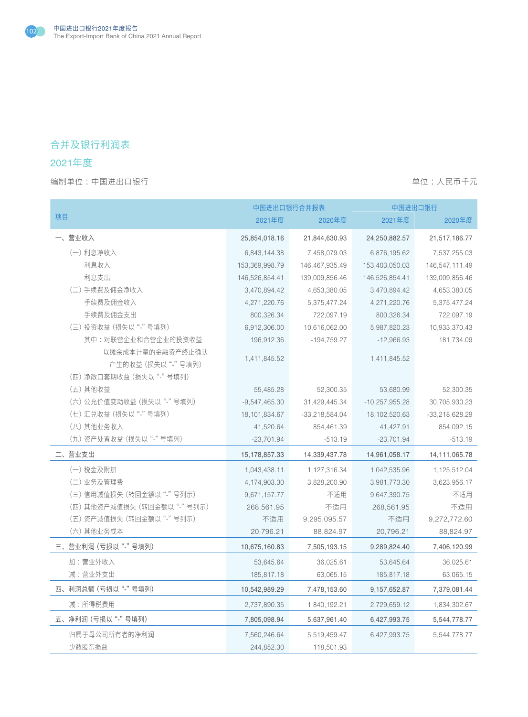

# 合并及银行利润表

## 2021年度

|                            | 中国进出口银行合并报表     |                  | 中国进出口银行          |                  |  |
|----------------------------|-----------------|------------------|------------------|------------------|--|
| 项目                         | 2021年度          | 2020年度           | 2021年度           | 2020年度           |  |
| -、营业收入                     | 25,854,018.16   | 21,844,630.93    | 24,250,882.57    | 21,517,186.77    |  |
| (一) 利息净收入                  | 6,843,144.38    | 7,458,079.03     | 6,876,195.62     | 7,537,255.03     |  |
| 利息收入                       | 153,369,998.79  | 146,467,935.49   | 153,403,050.03   | 146,547,111.49   |  |
| 利息支出                       | 146,526,854.41  | 139,009,856.46   | 146,526,854.41   | 139,009,856.46   |  |
| (二) 手续费及佣金净收入              | 3,470,894.42    | 4,653,380.05     | 3,470,894.42     | 4,653,380.05     |  |
| 手续费及佣金收入                   | 4,271,220.76    | 5,375,477.24     | 4,271,220.76     | 5,375,477.24     |  |
| 手续费及佣金支出                   | 800,326.34      | 722,097.19       | 800,326.34       | 722,097.19       |  |
| (三) 投资收益 (损失以"-"号填列)       | 6,912,306.00    | 10,616,062.00    | 5,987,820.23     | 10,933,370.43    |  |
| 其中:对联营企业和合营企业的投资收益         | 196,912.36      | $-194,759.27$    | $-12,966.93$     | 181,734.09       |  |
| 以摊余成本计量的金融资产终止确认           | 1,411,845.52    |                  | 1,411,845.52     |                  |  |
| 产生的收益 (损失以"-"号填列)          |                 |                  |                  |                  |  |
| (四)净敞口套期收益 (损失以 "-"号填列)    |                 |                  |                  |                  |  |
| (五) 其他收益                   | 55,485.28       | 52,300.35        | 53,680.99        | 52,300.35        |  |
| (六) 公允价值变动收益 (损失以"-"号填列)   | $-9,547,465.30$ | 31,429,445.34    | $-10,257,955.28$ | 30,705,930.23    |  |
| (七) 汇兑收益 (损失以"-"号填列)       | 18, 101, 834.67 | $-33,218,584.04$ | 18, 102, 520.63  | $-33,218,628.29$ |  |
| (八) 其他业务收入                 | 41,520.64       | 854,461.39       | 41,427.91        | 854,092.15       |  |
| (九) 资产处置收益 (损失以"-"号填列)     | $-23,701.94$    | $-513.19$        | $-23,701.94$     | $-513.19$        |  |
| 二、营业支出                     | 15,178,857.33   | 14,339,437.78    | 14,961,058.17    | 14, 111, 065. 78 |  |
| (一) 税金及附加                  | 1,043,438.11    | 1,127,316.34     | 1,042,535.96     | 1,125,512.04     |  |
| (二) 业务及管理费                 | 4,174,903.30    | 3,828,200.90     | 3,981,773.30     | 3,623,956.17     |  |
| (三)信用减值损失 (转回金额以 "-"号列示)   | 9,671,157.77    | 不适用              | 9,647,390.75     | 不适用              |  |
| (四) 其他资产减值损失 (转回金额以"-"号列示) | 268,561.95      | 不适用              | 268,561.95       | 不适用              |  |
| (五) 资产减值损失 (转回金额以"-"号列示)   | 不适用             | 9,295,095.57     | 不适用              | 9,272,772.60     |  |
| (六) 其他业务成本                 | 20,796.21       | 88,824.97        | 20,796.21        | 88,824.97        |  |
| 三、营业利润 (亏损以"-"号填列)         | 10,675,160.83   | 7,505,193.15     | 9,289,824.40     | 7,406,120.99     |  |
| 加:营业外收入                    | 53,645.64       | 36,025.61        | 53,645.64        | 36,025.61        |  |
| 减:营业外支出                    | 185,817.18      | 63,065.15        | 185,817.18       | 63,065.15        |  |
| 四、利润总额 (亏损以"-"号填列)         | 10,542,989.29   | 7,478,153.60     | 9, 157, 652.87   | 7,379,081.44     |  |
| 减:所得税费用                    | 2,737,890.35    | 1,840,192.21     | 2,729,659.12     | 1,834,302.67     |  |
| 五、净利润 (亏损以"-"号填列)          | 7,805,098.94    | 5,637,961.40     | 6,427,993.75     | 5,544,778.77     |  |
| 归属于母公司所有者的净利润              | 7,560,246.64    | 5,519,459.47     | 6,427,993.75     | 5,544,778.77     |  |
| 少数股东损益                     | 244,852.30      | 118,501.93       |                  |                  |  |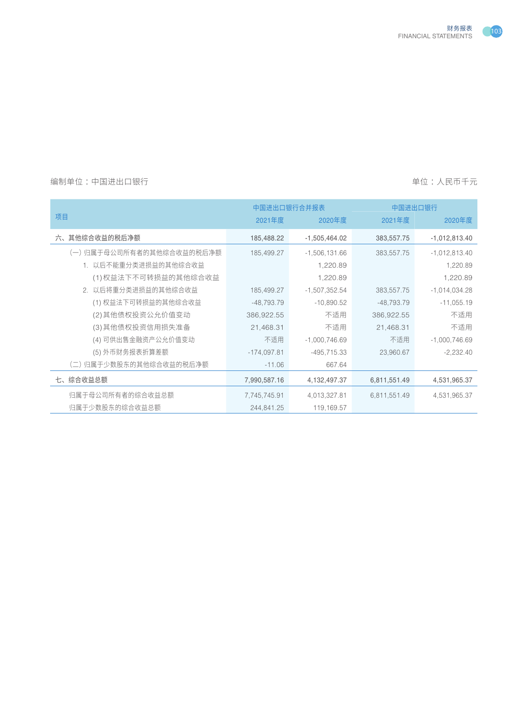

## 编制单位:中国进出口银行 着的 的过去分词 的过去分词 医神经性 医血管 计多元 医心包的 医单位:人民币千元

|                          |               | 中国进出口银行合并报表     |              | 中国进出口银行         |
|--------------------------|---------------|-----------------|--------------|-----------------|
| 项目                       | 2021年度        | 2020年度          | 2021年度       | 2020年度          |
| 六、其他综合收益的税后净额            | 185,488.22    | $-1,505,464.02$ | 383,557.75   | $-1,012,813.40$ |
| (一)归属于母公司所有者的其他综合收益的税后净额 | 185,499.27    | $-1,506,131.66$ | 383,557.75   | $-1,012,813.40$ |
| 1. 以后不能重分类进损益的其他综合收益     |               | 1,220.89        |              | 1,220.89        |
| (1)权益法下不可转损益的其他综合收益      |               | 1,220.89        |              | 1,220.89        |
| 2. 以后将重分类进损益的其他综合收益      | 185,499.27    | $-1,507,352.54$ | 383,557.75   | $-1,014,034.28$ |
| (1) 权益法下可转损益的其他综合收益      | $-48,793.79$  | $-10,890.52$    | $-48,793.79$ | $-11,055.19$    |
| (2)其他债权投资公允价值变动          | 386,922.55    | 不适用             | 386,922.55   | 不适用             |
| (3)其他债权投资信用损失准备          | 21,468.31     | 不适用             | 21,468.31    | 不适用             |
| (4) 可供出售金融资产公允价值变动       | 不适用           | $-1,000,746.69$ | 不适用          | $-1,000,746.69$ |
| (5)外币财务报表折算差额            | $-174,097.81$ | $-495, 715.33$  | 23,960.67    | $-2,232.40$     |
| (二)归属于少数股东的其他综合收益的税后净额   | $-11.06$      | 667.64          |              |                 |
| 七、综合收益总额                 | 7,990,587.16  | 4,132,497.37    | 6,811,551.49 | 4,531,965.37    |
| 归属于母公司所有者的综合收益总额         | 7,745,745.91  | 4,013,327.81    | 6,811,551.49 | 4,531,965.37    |
| 归属干少数股东的综合收益总额           | 244,841.25    | 119,169.57      |              |                 |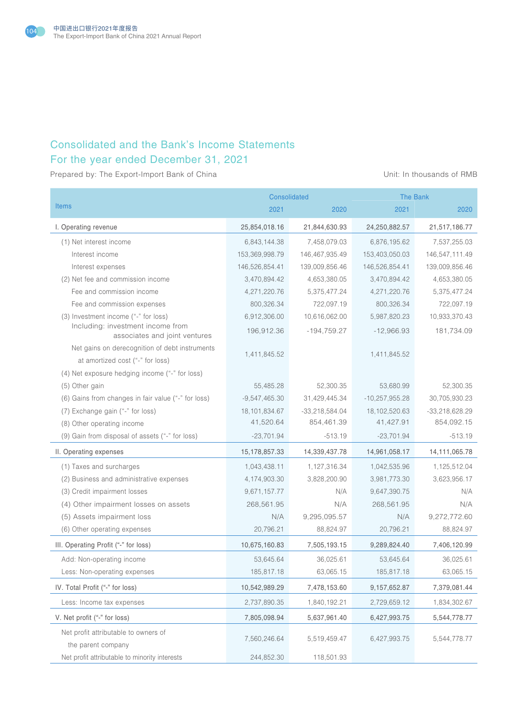

# Consolidated and the Bank's Income Statements For the year ended December 31, 2021

Prepared by: The Export-Import Bank of China Unit: In thousands of RMB

|                                                                    |                 | Consolidated     | <b>The Bank</b>  |                  |
|--------------------------------------------------------------------|-----------------|------------------|------------------|------------------|
| <b>Items</b>                                                       | 2021            | 2020             | 2021             | 2020             |
| I. Operating revenue                                               | 25,854,018.16   | 21,844,630.93    | 24,250,882.57    | 21,517,186.77    |
| (1) Net interest income                                            | 6,843,144.38    | 7,458,079.03     | 6,876,195.62     | 7,537,255.03     |
| Interest income                                                    | 153,369,998.79  | 146,467,935.49   | 153,403,050.03   | 146,547,111.49   |
| Interest expenses                                                  | 146,526,854.41  | 139,009,856.46   | 146,526,854.41   | 139,009,856.46   |
| (2) Net fee and commission income                                  | 3,470,894.42    | 4,653,380.05     | 3,470,894.42     | 4,653,380.05     |
| Fee and commission income                                          | 4,271,220.76    | 5,375,477.24     | 4,271,220.76     | 5,375,477.24     |
| Fee and commission expenses                                        | 800,326.34      | 722,097.19       | 800,326.34       | 722,097.19       |
| (3) Investment income ("-" for loss)                               | 6,912,306.00    | 10,616,062.00    | 5,987,820.23     | 10,933,370.43    |
| Including: investment income from<br>associates and joint ventures | 196,912.36      | $-194,759.27$    | $-12,966.93$     | 181,734.09       |
| Net gains on derecognition of debt instruments                     | 1,411,845.52    |                  | 1,411,845.52     |                  |
| at amortized cost ("-" for loss)                                   |                 |                  |                  |                  |
| (4) Net exposure hedging income ("-" for loss)                     |                 |                  |                  |                  |
| (5) Other gain                                                     | 55,485.28       | 52,300.35        | 53,680.99        | 52,300.35        |
| (6) Gains from changes in fair value ("-" for loss)                | $-9,547,465.30$ | 31,429,445.34    | $-10,257,955.28$ | 30,705,930.23    |
| (7) Exchange gain ("-" for loss)                                   | 18,101,834.67   | $-33,218,584.04$ | 18, 102, 520.63  | $-33,218,628.29$ |
| (8) Other operating income                                         | 41,520.64       | 854,461.39       | 41,427.91        | 854,092.15       |
| (9) Gain from disposal of assets ("-" for loss)                    | $-23,701.94$    | $-513.19$        | $-23,701.94$     | $-513.19$        |
| II. Operating expenses                                             | 15,178,857.33   | 14,339,437.78    | 14,961,058.17    | 14, 111, 065. 78 |
| (1) Taxes and surcharges                                           | 1,043,438.11    | 1,127,316.34     | 1,042,535.96     | 1,125,512.04     |
| (2) Business and administrative expenses                           | 4,174,903.30    | 3,828,200.90     | 3,981,773.30     | 3,623,956.17     |
| (3) Credit impairment losses                                       | 9,671,157.77    | N/A              | 9,647,390.75     | N/A              |
| (4) Other impairment losses on assets                              | 268,561.95      | N/A              | 268,561.95       | N/A              |
| (5) Assets impairment loss                                         | N/A             | 9,295,095.57     | N/A              | 9,272,772.60     |
| (6) Other operating expenses                                       | 20,796.21       | 88,824.97        | 20,796.21        | 88,824.97        |
| III. Operating Profit ("-" for loss)                               | 10,675,160.83   | 7,505,193.15     | 9,289,824.40     | 7,406,120.99     |
| Add: Non-operating income                                          | 53,645.64       | 36,025.61        | 53,645.64        | 36,025.61        |
| Less: Non-operating expenses                                       | 185,817.18      | 63,065.15        | 185,817.18       | 63,065.15        |
| IV. Total Profit ("-" for loss)                                    | 10,542,989.29   | 7,478,153.60     | 9,157,652.87     | 7,379,081.44     |
| Less: Income tax expenses                                          | 2,737,890.35    | 1,840,192.21     | 2,729,659.12     | 1,834,302.67     |
| V. Net profit ("-" for loss)                                       | 7,805,098.94    | 5,637,961.40     | 6,427,993.75     | 5,544,778.77     |
| Net profit attributable to owners of                               |                 |                  |                  |                  |
| the parent company                                                 | 7,560,246.64    | 5,519,459.47     | 6,427,993.75     | 5,544,778.77     |
| Net profit attributable to minority interests                      | 244,852.30      | 118,501.93       |                  |                  |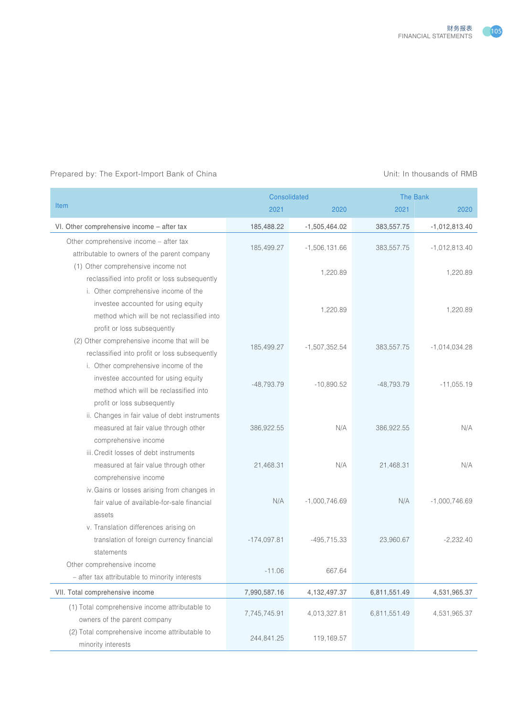

#### Prepared by: The Export-Import Bank of China View China Unit: In thousands of RMB

|                                                |               | <b>Consolidated</b> | <b>The Bank</b> |                 |
|------------------------------------------------|---------------|---------------------|-----------------|-----------------|
| <b>Item</b>                                    | 2021          | 2020                | 2021            | 2020            |
| VI. Other comprehensive income - after tax     | 185,488.22    | $-1,505,464.02$     | 383,557.75      | $-1,012,813.40$ |
| Other comprehensive income - after tax         |               |                     |                 |                 |
| attributable to owners of the parent company   | 185,499.27    | $-1,506,131.66$     | 383,557.75      | $-1,012,813.40$ |
| (1) Other comprehensive income not             |               |                     |                 |                 |
| reclassified into profit or loss subsequently  |               | 1,220.89            |                 | 1,220.89        |
| i. Other comprehensive income of the           |               |                     |                 |                 |
| investee accounted for using equity            |               |                     |                 |                 |
| method which will be not reclassified into     |               | 1,220.89            |                 | 1,220.89        |
| profit or loss subsequently                    |               |                     |                 |                 |
| (2) Other comprehensive income that will be    |               |                     |                 |                 |
| reclassified into profit or loss subsequently  | 185,499.27    | $-1,507,352.54$     | 383,557.75      | $-1,014,034.28$ |
| i. Other comprehensive income of the           |               |                     |                 |                 |
| investee accounted for using equity            |               |                     |                 |                 |
| method which will be reclassified into         | $-48,793.79$  | $-10,890.52$        | $-48,793.79$    | $-11,055.19$    |
| profit or loss subsequently                    |               |                     |                 |                 |
| ii. Changes in fair value of debt instruments  |               |                     |                 |                 |
| measured at fair value through other           | 386,922.55    | N/A                 | 386,922.55      | N/A             |
| comprehensive income                           |               |                     |                 |                 |
| iii. Credit losses of debt instruments         |               |                     |                 |                 |
| measured at fair value through other           | 21,468.31     | N/A                 | 21,468.31       | N/A             |
| comprehensive income                           |               |                     |                 |                 |
| iv. Gains or losses arising from changes in    |               |                     |                 |                 |
| fair value of available-for-sale financial     | N/A           | $-1,000,746.69$     | N/A             | $-1,000,746.69$ |
| assets                                         |               |                     |                 |                 |
| v. Translation differences arising on          |               |                     |                 |                 |
| translation of foreign currency financial      | $-174,097.81$ | $-495,715.33$       | 23,960.67       | $-2,232.40$     |
| statements                                     |               |                     |                 |                 |
| Other comprehensive income                     |               |                     |                 |                 |
| - after tax attributable to minority interests | $-11.06$      | 667.64              |                 |                 |
| VII. Total comprehensive income                | 7,990,587.16  | 4,132,497.37        | 6,811,551.49    | 4,531,965.37    |
| (1) Total comprehensive income attributable to |               |                     |                 |                 |
| owners of the parent company                   | 7,745,745.91  | 4,013,327.81        | 6,811,551.49    | 4,531,965.37    |
| (2) Total comprehensive income attributable to |               |                     |                 |                 |
| minority interests                             | 244,841.25    | 119,169.57          |                 |                 |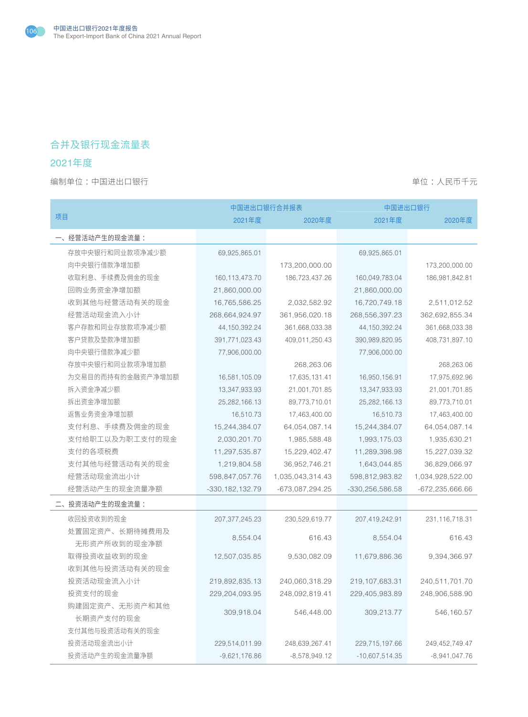

# 合并及银行现金流量表

## 2021年度

编制单位:中国进出口银行 着心的 : 我们在我们的时候,我们的时候,我们的时候,我们的时候,我们的时候,我们不会

|                   | 中国进出口银行合并报表         |                  | 中国进出口银行           |                     |
|-------------------|---------------------|------------------|-------------------|---------------------|
| 项目                | 2021年度              | 2020年度           | 2021年度            | 2020年度              |
| 一、经营活动产生的现金流量:    |                     |                  |                   |                     |
| 存放中央银行和同业款项净减少额   | 69,925,865.01       |                  | 69,925,865.01     |                     |
| 向中央银行借款净增加额       |                     | 173,200,000.00   |                   | 173,200,000.00      |
| 收取利息、手续费及佣金的现金    | 160, 113, 473. 70   | 186,723,437.26   | 160,049,783.04    | 186,981,842.81      |
| 回购业务资金净增加额        | 21,860,000.00       |                  | 21,860,000.00     |                     |
| 收到其他与经营活动有关的现金    | 16,765,586.25       | 2,032,582.92     | 16,720,749.18     | 2,511,012.52        |
| 经营活动现金流入小计        | 268,664,924.97      | 361,956,020.18   | 268,556,397.23    | 362,692,855.34      |
| 客户存款和同业存放款项净减少额   | 44, 150, 392. 24    | 361,668,033.38   | 44, 150, 392. 24  | 361,668,033.38      |
| 客户贷款及垫款净增加额       | 391,771,023.43      | 409,011,250.43   | 390,989,820.95    | 408,731,897.10      |
| 向中央银行借款净减少额       | 77,906,000.00       |                  | 77,906,000.00     |                     |
| 存放中央银行和同业款项净增加额   |                     | 268,263.06       |                   | 268,263.06          |
| 为交易目的而持有的金融资产净增加额 | 16,581,105.09       | 17,635,131.41    | 16,950,156.91     | 17,975,692.96       |
| 拆入资金净减少额          | 13,347,933.93       | 21,001,701.85    | 13,347,933.93     | 21,001,701.85       |
| 拆出资金净增加额          | 25,282,166.13       | 89,773,710.01    | 25, 282, 166. 13  | 89,773,710.01       |
| 返售业务资金净增加额        | 16,510.73           | 17,463,400.00    | 16,510.73         | 17,463,400.00       |
| 支付利息、手续费及佣金的现金    | 15,244,384.07       | 64,054,087.14    | 15,244,384.07     | 64,054,087.14       |
| 支付给职工以及为职工支付的现金   | 2,030,201.70        | 1,985,588.48     | 1,993,175.03      | 1,935,630.21        |
| 支付的各项税费           | 11,297,535.87       | 15,229,402.47    | 11,289,398.98     | 15,227,039.32       |
| 支付其他与经营活动有关的现金    | 1,219,804.58        | 36,952,746.21    | 1,643,044.85      | 36,829,066.97       |
| 经营活动现金流出小计        | 598,847,057.76      | 1,035,043,314.43 | 598,812,983.82    | 1,034,928,522.00    |
| 经营活动产生的现金流量净额     | $-330, 182, 132.79$ | -673,087,294.25  | -330,256,586.58   | $-672, 235, 666.66$ |
| 二、投资活动产生的现金流量:    |                     |                  |                   |                     |
| 收回投资收到的现金         | 207, 377, 245. 23   | 230,529,619.77   | 207,419,242.91    | 231,116,718.31      |
| 处置固定资产、长期待摊费用及    | 8,554.04            | 616.43           | 8,554.04          | 616.43              |
| 无形资产所收到的现金净额      |                     |                  |                   |                     |
| 取得投资收益收到的现金       | 12,507,035.85       | 9,530,082.09     | 11,679,886.36     | 9,394,366.97        |
| 收到其他与投资活动有关的现金    |                     |                  |                   |                     |
| 投资活动现金流入小计        | 219,892,835.13      | 240,060,318.29   | 219, 107, 683. 31 | 240,511,701.70      |
| 投资支付的现金           | 229,204,093.95      | 248,092,819.41   | 229,405,983.89    | 248,906,588.90      |
| 购建固定资产、无形资产和其他    | 309,918.04          | 546,448.00       | 309,213.77        | 546,160.57          |
| 长期资产支付的现金         |                     |                  |                   |                     |
| 支付其他与投资活动有关的现金    |                     |                  |                   |                     |
| 投资活动现金流出小计        | 229,514,011.99      | 248,639,267.41   | 229,715,197.66    | 249,452,749.47      |
| 投资活动产生的现金流量净额     | $-9,621,176.86$     | $-8,578,949.12$  | $-10,607,514.35$  | $-8,941,047.76$     |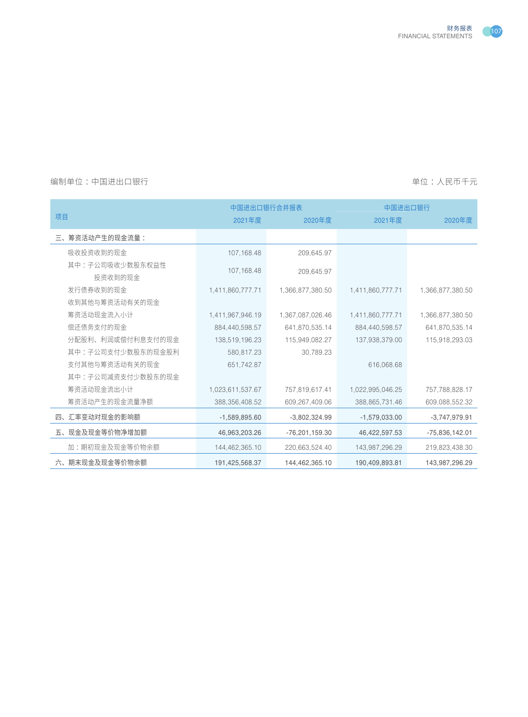

|                            | 中国进出口银行合并报表      |                  | 中国进出口银行          |                  |  |
|----------------------------|------------------|------------------|------------------|------------------|--|
| 项目                         | 2021年度           | 2020年度           | 2021年度           | 2020年度           |  |
| 三、筹资活动产生的现金流量:             |                  |                  |                  |                  |  |
| 吸收投资收到的现金                  | 107, 168.48      | 209,645.97       |                  |                  |  |
| 其中:子公司吸收少数股东权益性<br>投资收到的现金 | 107,168.48       | 209.645.97       |                  |                  |  |
| 发行债券收到的现金                  | 1,411,860,777.71 | 1,366,877,380.50 | 1,411,860,777.71 | 1,366,877,380.50 |  |
| 收到其他与筹资活动有关的现金             |                  |                  |                  |                  |  |
| 筹资活动现金流入小计                 | 1,411,967,946.19 | 1,367,087,026.46 | 1,411,860,777.71 | 1,366,877,380.50 |  |
| 偿还债务支付的现金                  | 884,440,598.57   | 641,870,535.14   | 884,440,598.57   | 641,870,535.14   |  |
| 分配股利、利润或偿付利息支付的现金          | 138,519,196.23   | 115,949,082.27   | 137,938,379.00   | 115,918,293.03   |  |
| 其中:子公司支付少数股东的现金股利          | 580,817.23       | 30,789.23        |                  |                  |  |
| 支付其他与筹资活动有关的现金             | 651,742.87       |                  | 616,068.68       |                  |  |
| 其中:子公司减资支付少数股东的现金          |                  |                  |                  |                  |  |
| 筹资活动现金流出小计                 | 1,023,611,537.67 | 757,819,617.41   | 1,022,995,046.25 | 757,788,828.17   |  |
| 筹资活动产生的现金流量净额              | 388, 356, 408.52 | 609,267,409.06   | 388,865,731.46   | 609,088,552.32   |  |
| 四、汇率变动对现金的影响额              | $-1,589,895.60$  | $-3,802,324.99$  | $-1,579,033.00$  | $-3,747,979.91$  |  |
| 五、现金及现金等价物净增加额             | 46,963,203.26    | $-76,201,159.30$ | 46,422,597.53    | $-75,836,142.01$ |  |
| 加:期初现金及现金等价物余额             | 144,462,365.10   | 220,663,524.40   | 143,987,296.29   | 219,823,438.30   |  |
| 六、期末现金及现金等价物余额             | 191,425,568.37   | 144,462,365.10   | 190,409,893.81   | 143,987,296.29   |  |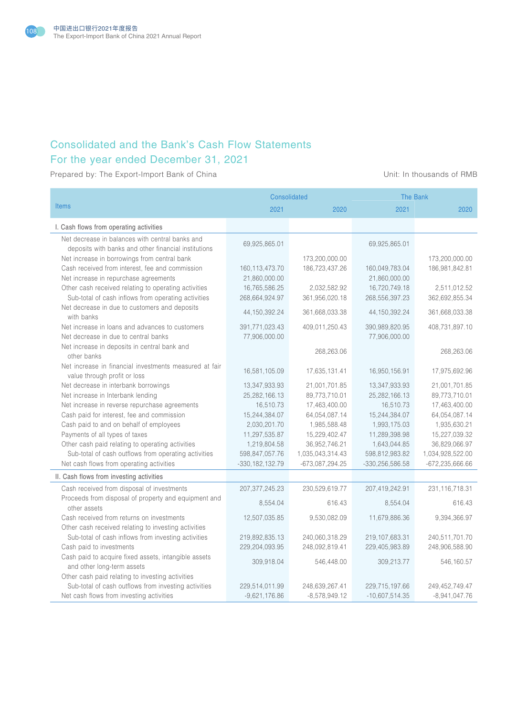

# Consolidated and the Bank's Cash Flow Statements For the year ended December 31, 2021

Prepared by: The Export-Import Bank of China Unit: In thousands of RMB

|                                                             | Consolidated        |                   | <b>The Bank</b>     |                     |
|-------------------------------------------------------------|---------------------|-------------------|---------------------|---------------------|
| <b>Items</b>                                                | 2021                | 2020              | 2021                | 2020                |
| I. Cash flows from operating activities                     |                     |                   |                     |                     |
| Net decrease in balances with central banks and             | 69,925,865.01       |                   | 69,925,865.01       |                     |
| deposits with banks and other financial institutions        |                     |                   |                     |                     |
| Net increase in borrowings from central bank                |                     | 173,200,000.00    |                     | 173,200,000.00      |
| Cash received from interest, fee and commission             | 160, 113, 473. 70   | 186,723,437.26    | 160,049,783.04      | 186,981,842.81      |
| Net increase in repurchase agreements                       | 21,860,000.00       |                   | 21,860,000.00       |                     |
| Other cash received relating to operating activities        | 16,765,586.25       | 2,032,582.92      | 16,720,749.18       | 2,511,012.52        |
| Sub-total of cash inflows from operating activities         | 268,664,924.97      | 361,956,020.18    | 268,556,397.23      | 362,692,855.34      |
| Net decrease in due to customers and deposits<br>with banks | 44, 150, 392. 24    | 361,668,033.38    | 44, 150, 392. 24    | 361,668,033.38      |
| Net increase in loans and advances to customers             | 391,771,023.43      | 409,011,250.43    | 390,989,820.95      | 408,731,897.10      |
| Net decrease in due to central banks                        | 77,906,000.00       |                   | 77,906,000.00       |                     |
| Net increase in deposits in central bank and                |                     |                   |                     |                     |
| other banks                                                 |                     | 268,263.06        |                     | 268,263.06          |
| Net increase in financial investments measured at fair      |                     |                   |                     |                     |
| value through profit or loss                                | 16,581,105.09       | 17,635,131.41     | 16,950,156.91       | 17,975,692.96       |
| Net decrease in interbank borrowings                        | 13,347,933.93       | 21,001,701.85     | 13,347,933.93       | 21,001,701.85       |
| Net increase in Interbank lending                           | 25, 282, 166. 13    | 89,773,710.01     | 25,282,166.13       | 89,773,710.01       |
| Net increase in reverse repurchase agreements               | 16,510.73           | 17,463,400.00     | 16,510.73           | 17,463,400.00       |
| Cash paid for interest, fee and commission                  | 15,244,384.07       | 64,054,087.14     | 15,244,384.07       | 64,054,087.14       |
| Cash paid to and on behalf of employees                     | 2,030,201.70        | 1,985,588.48      | 1,993,175.03        | 1,935,630.21        |
| Payments of all types of taxes                              | 11,297,535.87       | 15,229,402.47     | 11,289,398.98       | 15,227,039.32       |
| Other cash paid relating to operating activities            | 1,219,804.58        | 36,952,746.21     | 1,643,044.85        | 36,829,066.97       |
| Sub-total of cash outflows from operating activities        | 598,847,057.76      | 1,035,043,314.43  | 598,812,983.82      | 1,034,928,522.00    |
| Net cash flows from operating activities                    | $-330, 182, 132.79$ | $-673,087,294.25$ | $-330, 256, 586.58$ | $-672, 235, 666.66$ |
| II. Cash flows from investing activities                    |                     |                   |                     |                     |
| Cash received from disposal of investments                  | 207, 377, 245. 23   | 230,529,619.77    | 207,419,242.91      | 231, 116, 718. 31   |
| Proceeds from disposal of property and equipment and        | 8,554.04            | 616.43            | 8.554.04            | 616.43              |
| other assets                                                |                     |                   |                     |                     |
| Cash received from returns on investments                   | 12,507,035.85       | 9,530,082.09      | 11,679,886.36       | 9,394,366.97        |
| Other cash received relating to investing activities        |                     |                   |                     |                     |
| Sub-total of cash inflows from investing activities         | 219,892,835.13      | 240,060,318.29    | 219,107,683.31      | 240,511,701.70      |
| Cash paid to investments                                    | 229,204,093.95      | 248,092,819.41    | 229,405,983.89      | 248,906,588.90      |
| Cash paid to acquire fixed assets, intangible assets        | 309,918.04          | 546,448.00        | 309,213.77          | 546,160.57          |
| and other long-term assets                                  |                     |                   |                     |                     |
| Other cash paid relating to investing activities            |                     |                   |                     |                     |
| Sub-total of cash outflows from investing activities        | 229,514,011.99      | 248,639,267.41    | 229,715,197.66      | 249,452,749.47      |
| Net cash flows from investing activities                    | $-9,621,176.86$     | $-8,578,949.12$   | $-10,607,514.35$    | $-8,941,047.76$     |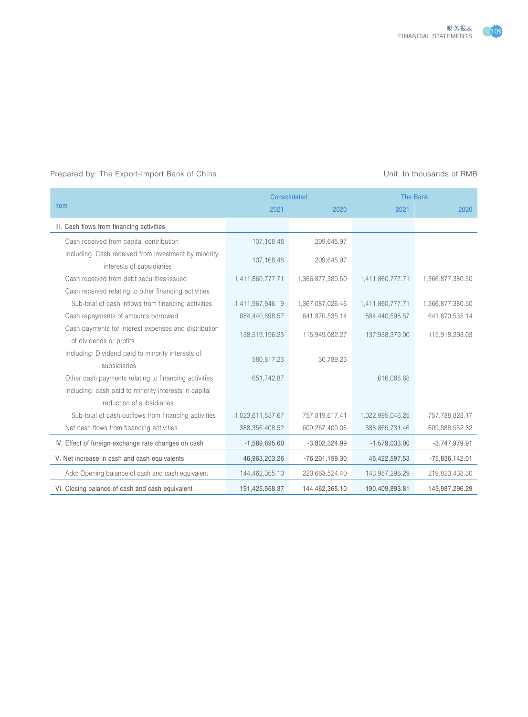

#### Prepared by: The Export-Import Bank of China View China Unit: In thousands of RMB

|                                                                                   | Consolidated     |                  | <b>The Bank</b>  |                  |
|-----------------------------------------------------------------------------------|------------------|------------------|------------------|------------------|
| <b>Item</b>                                                                       | 2021             | 2020             | 2021             | 2020             |
| III. Cash flows from financing activities                                         |                  |                  |                  |                  |
| Cash received from capital contribution                                           | 107, 168.48      | 209,645.97       |                  |                  |
| Including: Cash received from investment by minority<br>interests of subsidiaries | 107,168.48       | 209,645.97       |                  |                  |
| Cash received from debt securities issued                                         | 1,411,860,777.71 | 1,366,877,380.50 | 1,411,860,777.71 | 1,366,877,380.50 |
| Cash received relating to other financing activities                              |                  |                  |                  |                  |
| Sub-total of cash inflows from financing activities                               | 1,411,967,946.19 | 1,367,087,026.46 | 1,411,860,777.71 | 1,366,877,380.50 |
| Cash repayments of amounts borrowed                                               | 884,440,598.57   | 641,870,535.14   | 884,440,598.57   | 641,870,535.14   |
| Cash payments for interest expenses and distribution<br>of dividends or profits   | 138,519,196.23   | 115,949,082.27   | 137,938,379.00   | 115,918,293.03   |
| Including: Dividend paid to minority interests of<br>subsidiaries                 | 580,817.23       | 30.789.23        |                  |                  |
| Other cash payments relating to financing activities                              | 651,742.87       |                  | 616,068.68       |                  |
| Including: cash paid to minority interests in capital                             |                  |                  |                  |                  |
| reduction of subsidiaries                                                         |                  |                  |                  |                  |
| Sub-total of cash outflows from financing activities                              | 1,023,611,537.67 | 757,819,617.41   | 1,022,995,046.25 | 757,788,828.17   |
| Net cash flows from financing activities                                          | 388,356,408.52   | 609,267,409.06   | 388,865,731.46   | 609,088,552.32   |
| IV. Effect of foreign exchange rate changes on cash                               | $-1,589,895.60$  | $-3,802,324.99$  | $-1,579,033.00$  | $-3,747,979.91$  |
| V. Net increase in cash and cash equivalents                                      | 46,963,203.26    | $-76,201,159.30$ | 46,422,597.53    | $-75,836,142.01$ |
| Add: Opening balance of cash and cash equivalent                                  | 144,462,365.10   | 220,663,524.40   | 143,987,296.29   | 219,823,438.30   |
| VI. Closing balance of cash and cash equivalent                                   | 191,425,568.37   | 144,462,365.10   | 190,409,893.81   | 143,987,296.29   |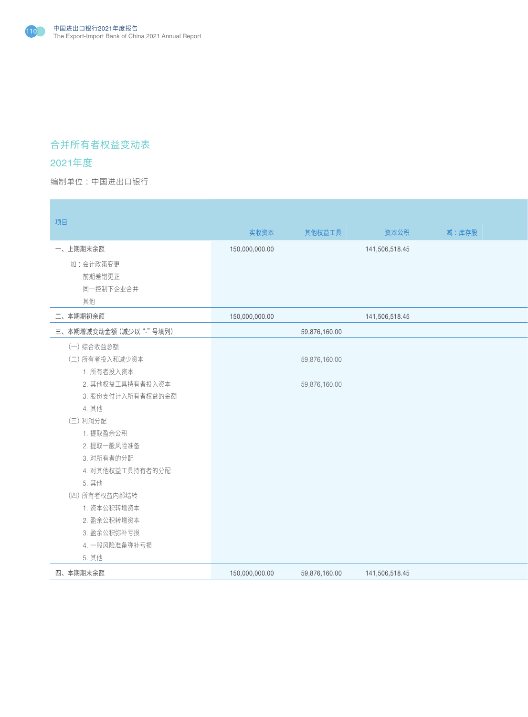

# 合并所有者权益变动表

# 2021年度

编制单位:中国进出口银行 : All and the second state of the second state of the second state of the second state of the second state of the second state of the second state of the second state of the second state of the second state o

| 项目                     |                |               |                |       |
|------------------------|----------------|---------------|----------------|-------|
|                        | 实收资本           | 其他权益工具        | 资本公积           | 减:库存股 |
| 一、上期期末余额               | 150,000,000.00 |               | 141,506,518.45 |       |
| 加:会计政策变更               |                |               |                |       |
| 前期差错更正                 |                |               |                |       |
| 同一控制下企业合并              |                |               |                |       |
| 其他                     |                |               |                |       |
| 二、本期期初余额               | 150,000,000.00 |               | 141,506,518.45 |       |
| 三、本期增减变动金额 (减少以"-"号填列) |                | 59,876,160.00 |                |       |
| (一) 综合收益总额             |                |               |                |       |
| (二) 所有者投入和减少资本         |                | 59,876,160.00 |                |       |
| 1. 所有者投入资本             |                |               |                |       |
| 2. 其他权益工具持有者投入资本       |                | 59,876,160.00 |                |       |
| 3. 股份支付计入所有者权益的金额      |                |               |                |       |
| 4. 其他                  |                |               |                |       |
| (三)利润分配                |                |               |                |       |
| 1. 提取盈余公积              |                |               |                |       |
| 2. 提取一般风险准备            |                |               |                |       |
| 3. 对所有者的分配             |                |               |                |       |
| 4. 对其他权益工具持有者的分配       |                |               |                |       |
| 5. 其他                  |                |               |                |       |
| (四) 所有者权益内部结转          |                |               |                |       |
| 1. 资本公积转增资本            |                |               |                |       |
| 2. 盈余公积转增资本            |                |               |                |       |
| 3. 盈余公积弥补亏损            |                |               |                |       |
| 4. 一般风险准备弥补亏损          |                |               |                |       |
| 5. 其他                  |                |               |                |       |
| 四、本期期末余额               | 150,000,000.00 | 59,876,160.00 | 141,506,518.45 |       |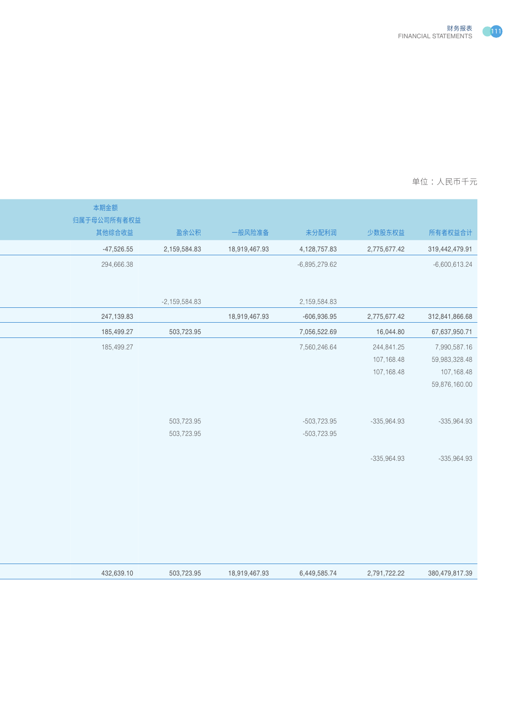

| 本期金额<br>归属于母公司所有者权益<br>其他综合收益<br>一般风险准备<br>少数股东权益<br>盈余公积<br>未分配利润<br>所有者权益合计<br>$-47,526.55$<br>2,159,584.83<br>18,919,467.93<br>4,128,757.83<br>2,775,677.42<br>319,442,479.91<br>294,666.38<br>$-6,895,279.62$<br>$-6,600,613.24$<br>$-2,159,584.83$<br>2,159,584.83<br>247,139.83<br>18,919,467.93<br>2,775,677.42<br>312,841,866.68<br>-606,936.95<br>185,499.27<br>503,723.95<br>7,056,522.69<br>67,637,950.71<br>16,044.80<br>7,990,587.16<br>185,499.27<br>7,560,246.64<br>244,841.25<br>59,983,328.48<br>107,168.48<br>107,168.48<br>107,168.48<br>59,876,160.00<br>503,723.95<br>-503,723.95<br>$-335,964.93$<br>$-335,964.93$<br>503,723.95<br>-503,723.95<br>$-335,964.93$<br>$-335,964.93$ |  |
|---------------------------------------------------------------------------------------------------------------------------------------------------------------------------------------------------------------------------------------------------------------------------------------------------------------------------------------------------------------------------------------------------------------------------------------------------------------------------------------------------------------------------------------------------------------------------------------------------------------------------------------------------------------------------------------------------------|--|
|                                                                                                                                                                                                                                                                                                                                                                                                                                                                                                                                                                                                                                                                                                         |  |
|                                                                                                                                                                                                                                                                                                                                                                                                                                                                                                                                                                                                                                                                                                         |  |
|                                                                                                                                                                                                                                                                                                                                                                                                                                                                                                                                                                                                                                                                                                         |  |
|                                                                                                                                                                                                                                                                                                                                                                                                                                                                                                                                                                                                                                                                                                         |  |
|                                                                                                                                                                                                                                                                                                                                                                                                                                                                                                                                                                                                                                                                                                         |  |
|                                                                                                                                                                                                                                                                                                                                                                                                                                                                                                                                                                                                                                                                                                         |  |
|                                                                                                                                                                                                                                                                                                                                                                                                                                                                                                                                                                                                                                                                                                         |  |
|                                                                                                                                                                                                                                                                                                                                                                                                                                                                                                                                                                                                                                                                                                         |  |
|                                                                                                                                                                                                                                                                                                                                                                                                                                                                                                                                                                                                                                                                                                         |  |
|                                                                                                                                                                                                                                                                                                                                                                                                                                                                                                                                                                                                                                                                                                         |  |
|                                                                                                                                                                                                                                                                                                                                                                                                                                                                                                                                                                                                                                                                                                         |  |
|                                                                                                                                                                                                                                                                                                                                                                                                                                                                                                                                                                                                                                                                                                         |  |
|                                                                                                                                                                                                                                                                                                                                                                                                                                                                                                                                                                                                                                                                                                         |  |
|                                                                                                                                                                                                                                                                                                                                                                                                                                                                                                                                                                                                                                                                                                         |  |
|                                                                                                                                                                                                                                                                                                                                                                                                                                                                                                                                                                                                                                                                                                         |  |
|                                                                                                                                                                                                                                                                                                                                                                                                                                                                                                                                                                                                                                                                                                         |  |
|                                                                                                                                                                                                                                                                                                                                                                                                                                                                                                                                                                                                                                                                                                         |  |
|                                                                                                                                                                                                                                                                                                                                                                                                                                                                                                                                                                                                                                                                                                         |  |
|                                                                                                                                                                                                                                                                                                                                                                                                                                                                                                                                                                                                                                                                                                         |  |
|                                                                                                                                                                                                                                                                                                                                                                                                                                                                                                                                                                                                                                                                                                         |  |
|                                                                                                                                                                                                                                                                                                                                                                                                                                                                                                                                                                                                                                                                                                         |  |
|                                                                                                                                                                                                                                                                                                                                                                                                                                                                                                                                                                                                                                                                                                         |  |
| 432,639.10<br>503,723.95<br>18,919,467.93<br>6,449,585.74<br>2,791,722.22<br>380,479,817.39                                                                                                                                                                                                                                                                                                                                                                                                                                                                                                                                                                                                             |  |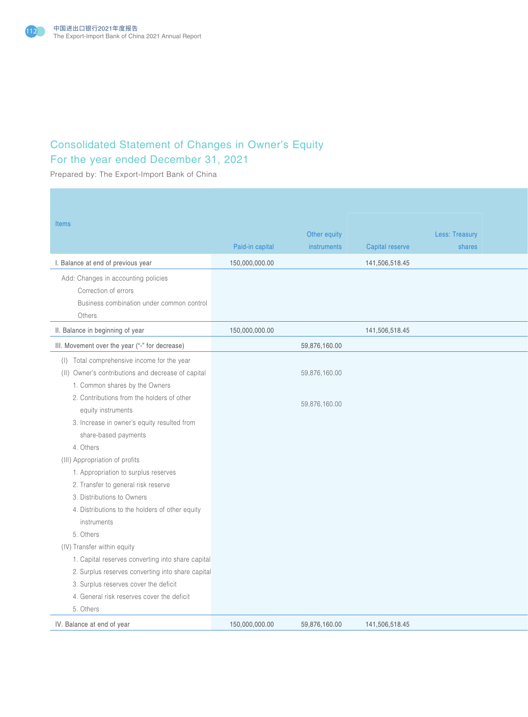

# Consolidated Statement of Changes in Owner's Equity For the year ended December 31, 2021

Prepared by: The Export-Import Bank of China

| <b>Items</b>                                                                                                                                                                      | Paid-in capital | Other equity<br>instruments    | Capital reserve | Less: Treasury<br>shares |
|-----------------------------------------------------------------------------------------------------------------------------------------------------------------------------------|-----------------|--------------------------------|-----------------|--------------------------|
| I. Balance at end of previous year                                                                                                                                                | 150,000,000.00  |                                | 141,506,518.45  |                          |
| Add: Changes in accounting policies<br>Correction of errors<br>Business combination under common control<br>Others                                                                |                 |                                |                 |                          |
| II. Balance in beginning of year                                                                                                                                                  | 150,000,000.00  |                                | 141,506,518.45  |                          |
| III. Movement over the year ("-" for decrease)                                                                                                                                    |                 | 59,876,160.00                  |                 |                          |
| (I) Total comprehensive income for the year<br>(II) Owner's contributions and decrease of capital<br>1. Common shares by the Owners<br>2. Contributions from the holders of other |                 | 59,876,160.00<br>59,876,160.00 |                 |                          |
| equity instruments<br>3. Increase in owner's equity resulted from<br>share-based payments<br>4. Others                                                                            |                 |                                |                 |                          |
| (III) Appropriation of profits                                                                                                                                                    |                 |                                |                 |                          |
| 1. Appropriation to surplus reserves                                                                                                                                              |                 |                                |                 |                          |
| 2. Transfer to general risk reserve                                                                                                                                               |                 |                                |                 |                          |
| 3. Distributions to Owners<br>4. Distributions to the holders of other equity                                                                                                     |                 |                                |                 |                          |
| instruments                                                                                                                                                                       |                 |                                |                 |                          |
| 5. Others                                                                                                                                                                         |                 |                                |                 |                          |
| (IV) Transfer within equity                                                                                                                                                       |                 |                                |                 |                          |
| 1. Capital reserves converting into share capital                                                                                                                                 |                 |                                |                 |                          |
| 2. Surplus reserves converting into share capital                                                                                                                                 |                 |                                |                 |                          |
| 3. Surplus reserves cover the deficit                                                                                                                                             |                 |                                |                 |                          |
| 4. General risk reserves cover the deficit<br>5. Others                                                                                                                           |                 |                                |                 |                          |
| IV. Balance at end of year                                                                                                                                                        | 150,000,000.00  | 59,876,160.00                  | 141,506,518.45  |                          |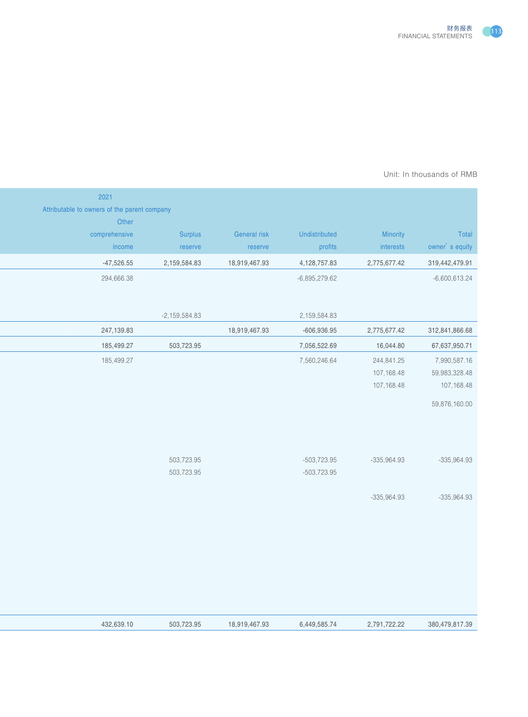

#### Prepared by: The Export-Importance Bank of AMB Unit: In thousands of RMB  $\,$

|                 |               |                 |               |                 | 2021                                         |
|-----------------|---------------|-----------------|---------------|-----------------|----------------------------------------------|
|                 |               |                 |               |                 | Attributable to owners of the parent company |
|                 |               |                 |               |                 | Other                                        |
| Total           | Minority      | Undistributed   | General risk  | Surplus         | comprehensive                                |
| owner's equity  | interests     | profits         | reserve       | reserve         | income                                       |
| 319,442,479.91  | 2,775,677.42  | 4,128,757.83    | 18,919,467.93 | 2,159,584.83    | $-47,526.55$                                 |
| $-6,600,613.24$ |               | $-6,895,279.62$ |               |                 | 294,666.38                                   |
|                 |               |                 |               |                 |                                              |
|                 |               |                 |               |                 |                                              |
|                 |               | 2,159,584.83    |               | $-2,159,584.83$ |                                              |
| 312,841,866.68  | 2,775,677.42  | -606,936.95     | 18,919,467.93 |                 | 247,139.83                                   |
| 67,637,950.71   | 16,044.80     | 7,056,522.69    |               | 503,723.95      | 185,499.27                                   |
| 7,990,587.16    | 244,841.25    | 7,560,246.64    |               |                 | 185,499.27                                   |
| 59,983,328.48   | 107,168.48    |                 |               |                 |                                              |
| 107,168.48      | 107,168.48    |                 |               |                 |                                              |
| 59,876,160.00   |               |                 |               |                 |                                              |
|                 |               |                 |               |                 |                                              |
|                 |               |                 |               |                 |                                              |
|                 |               |                 |               |                 |                                              |
| $-335,964.93$   | $-335,964.93$ | -503,723.95     |               | 503,723.95      |                                              |
|                 |               | -503,723.95     |               | 503,723.95      |                                              |
|                 |               |                 |               |                 |                                              |
| $-335,964.93$   | $-335,964.93$ |                 |               |                 |                                              |
|                 |               |                 |               |                 |                                              |
|                 |               |                 |               |                 |                                              |
|                 |               |                 |               |                 |                                              |
|                 |               |                 |               |                 |                                              |
|                 |               |                 |               |                 |                                              |
|                 |               |                 |               |                 |                                              |
|                 |               |                 |               |                 |                                              |
|                 |               |                 |               |                 |                                              |
| 380,479,817.39  | 2,791,722.22  | 6,449,585.74    | 18,919,467.93 | 503,723.95      | 432,639.10                                   |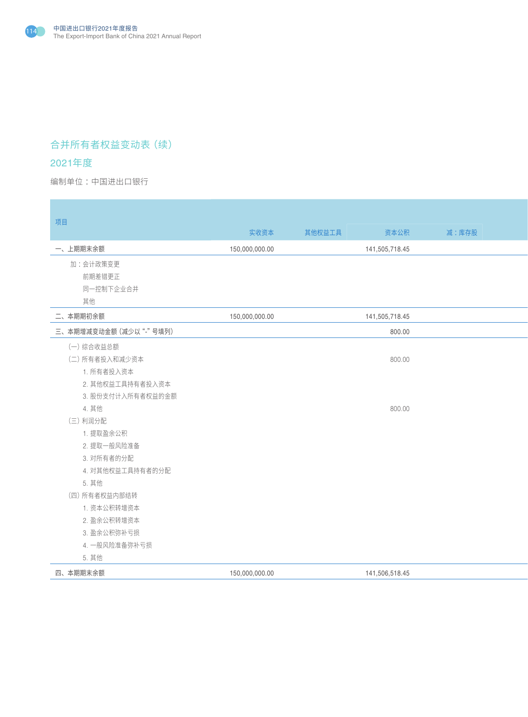

# 合并所有者权益变动表(续)

# 2021年度

编制单位:中国进出口银行 : All and the second state of the second state of the second state of the second state of the second state of the second state of the second state of the second state of the second state of the second state o

| 项目                     |                |        |                |       |
|------------------------|----------------|--------|----------------|-------|
|                        | 实收资本           | 其他权益工具 | 资本公积           | 减:库存股 |
| 一、上期期末余额               | 150,000,000.00 |        | 141,505,718.45 |       |
| 加:会计政策变更               |                |        |                |       |
| 前期差错更正                 |                |        |                |       |
| 同一控制下企业合并              |                |        |                |       |
| 其他                     |                |        |                |       |
| 二、本期期初余额               | 150,000,000.00 |        | 141,505,718.45 |       |
| 三、本期增减变动金额 (减少以"-"号填列) |                |        | 800.00         |       |
| (一)综合收益总额              |                |        |                |       |
| (二) 所有者投入和减少资本         |                |        | 800.00         |       |
| 1. 所有者投入资本             |                |        |                |       |
| 2. 其他权益工具持有者投入资本       |                |        |                |       |
| 3. 股份支付计入所有者权益的金额      |                |        |                |       |
| 4. 其他                  |                |        | 800.00         |       |
| (三)利润分配                |                |        |                |       |
| 1. 提取盈余公积              |                |        |                |       |
| 2. 提取一般风险准备            |                |        |                |       |
| 3. 对所有者的分配             |                |        |                |       |
| 4. 对其他权益工具持有者的分配       |                |        |                |       |
| 5. 其他                  |                |        |                |       |
| (四) 所有者权益内部结转          |                |        |                |       |
| 1. 资本公积转增资本            |                |        |                |       |
| 2. 盈余公积转增资本            |                |        |                |       |
| 3. 盈余公积弥补亏损            |                |        |                |       |
| 4. 一般风险准备弥补亏损          |                |        |                |       |
| 5. 其他                  |                |        |                |       |
| 四、本期期末余额               | 150,000,000.00 |        | 141,506,518.45 |       |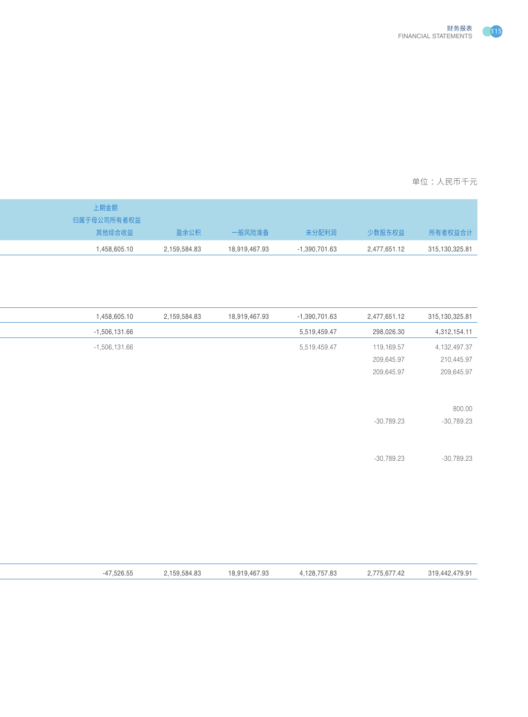

| 上期金额         |              |               |                                 |                |
|--------------|--------------|---------------|---------------------------------|----------------|
| 归属于母公司所有者权益  |              |               |                                 |                |
| 其他综合收益       | 盈余公积         | 一般风险准备        | 少数股东权益<br>未分配利润                 | 所有者权益合计        |
| 1,458,605.10 | 2,159,584.83 | 18,919,467.93 | $-1,390,701.63$<br>2,477,651.12 | 315,130,325.81 |
|              |              |               |                                 |                |

| 315, 130, 325.81 | 2,477,651.12 | $-1,390,701.63$ | 18,919,467.93 | 2,159,584.83 | 1,458,605.10    |
|------------------|--------------|-----------------|---------------|--------------|-----------------|
| 4,312,154.11     | 298,026.30   | 5,519,459.47    |               |              | $-1,506,131.66$ |
| 4, 132, 497. 37  | 119,169.57   | 5,519,459.47    |               |              | $-1,506,131.66$ |
| 210,445.97       | 209,645.97   |                 |               |              |                 |
| 209,645.97       | 209,645.97   |                 |               |              |                 |
|                  |              |                 |               |              |                 |
|                  |              |                 |               |              |                 |
| 800.00           |              |                 |               |              |                 |
| $-30,789.23$     | $-30,789.23$ |                 |               |              |                 |
|                  |              |                 |               |              |                 |
|                  |              |                 |               |              |                 |
| $-30,789.23$     | $-30,789.23$ |                 |               |              |                 |
|                  |              |                 |               |              |                 |
|                  |              |                 |               |              |                 |
|                  |              |                 |               |              |                 |
|                  |              |                 |               |              |                 |
|                  |              |                 |               |              |                 |

|--|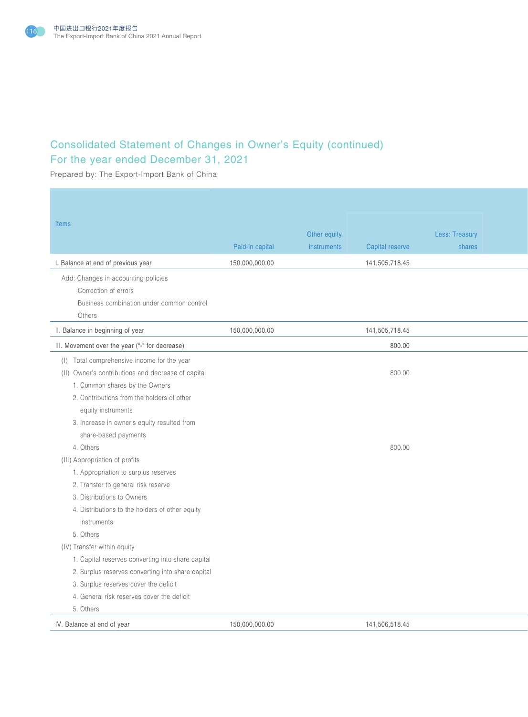

# Consolidated Statement of Changes in Owner's Equity (continued) For the year ended December 31, 2021

Prepared by: The Export-Import Bank of China

| <b>Items</b>                                                                                                                                                                                                                                                                   | Paid-in capital | Other equity<br>instruments<br>Capital reserve | Less: Treasury<br>shares |
|--------------------------------------------------------------------------------------------------------------------------------------------------------------------------------------------------------------------------------------------------------------------------------|-----------------|------------------------------------------------|--------------------------|
| I. Balance at end of previous year                                                                                                                                                                                                                                             | 150,000,000.00  | 141,505,718.45                                 |                          |
| Add: Changes in accounting policies<br>Correction of errors<br>Business combination under common control<br>Others                                                                                                                                                             |                 |                                                |                          |
| II. Balance in beginning of year                                                                                                                                                                                                                                               | 150,000,000.00  | 141,505,718.45                                 |                          |
| III. Movement over the year ("-" for decrease)                                                                                                                                                                                                                                 |                 | 800.00                                         |                          |
| (I) Total comprehensive income for the year<br>(II) Owner's contributions and decrease of capital<br>1. Common shares by the Owners<br>2. Contributions from the holders of other<br>equity instruments<br>3. Increase in owner's equity resulted from<br>share-based payments |                 | 800.00                                         |                          |
| 4. Others<br>(III) Appropriation of profits<br>1. Appropriation to surplus reserves<br>2. Transfer to general risk reserve<br>3. Distributions to Owners<br>4. Distributions to the holders of other equity<br>instruments<br>5. Others                                        |                 | 800.00                                         |                          |
| (IV) Transfer within equity<br>1. Capital reserves converting into share capital<br>2. Surplus reserves converting into share capital<br>3. Surplus reserves cover the deficit<br>4. General risk reserves cover the deficit<br>5. Others<br>IV. Balance at end of year        | 150,000,000.00  | 141,506,518.45                                 |                          |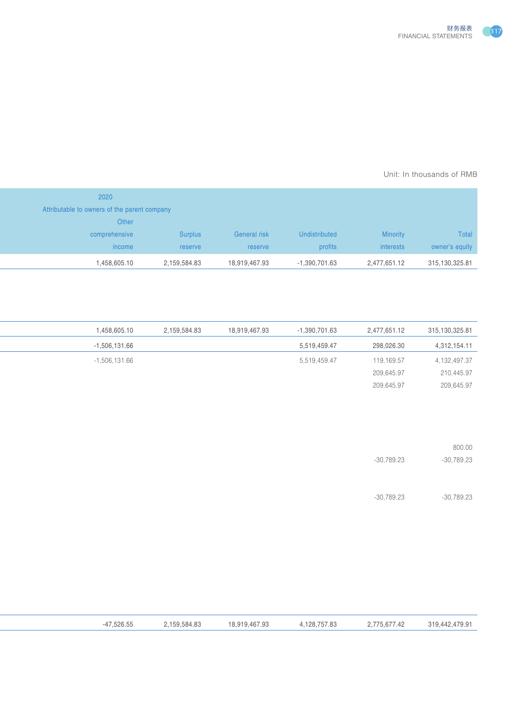

#### Prepared by: The Export-Importance Bank of AMB Unit: In thousands of RMB  $\,$

|                |              |               |               |              | 2020                                         |
|----------------|--------------|---------------|---------------|--------------|----------------------------------------------|
|                |              |               |               |              | Attributable to owners of the parent company |
|                |              |               |               |              | Other                                        |
| Total          | Minority     | Undistributed | General risk  | Surplus      | comprehensive                                |
| owner's equity | interests    | profits       | reserve       | reserve      | income                                       |
| 315,130,325.81 | 2,477,651.12 | -1,390,701.63 | 18,919,467.93 | 2,159,584.83 | 1,458,605.10                                 |
|                |              |               |               |              |                                              |

| 1,458,605.10    | 2,159,584.83 | 18,919,467.93 | $-1,390,701.63$ | 2,477,651.12 | 315,130,325.81 |
|-----------------|--------------|---------------|-----------------|--------------|----------------|
| $-1,506,131.66$ |              |               | 5,519,459.47    | 298,026.30   | 4,312,154.11   |
| $-1,506,131.66$ |              |               | 5,519,459.47    | 119,169.57   | 4, 132, 497.37 |
|                 |              |               |                 | 209,645.97   | 210,445.97     |
|                 |              |               |                 | 209,645.97   | 209,645.97     |

|              | 800.00       |
|--------------|--------------|
| $-30,789.23$ | $-30,789.23$ |

3. Distributions to Owners -30,789.23 -30,789.23

| 47,526.55 | 2,159,584.83 | 18,919,467.93 | 4,128,757.83 | 2,775,677.42 | 319,442,479.91 |
|-----------|--------------|---------------|--------------|--------------|----------------|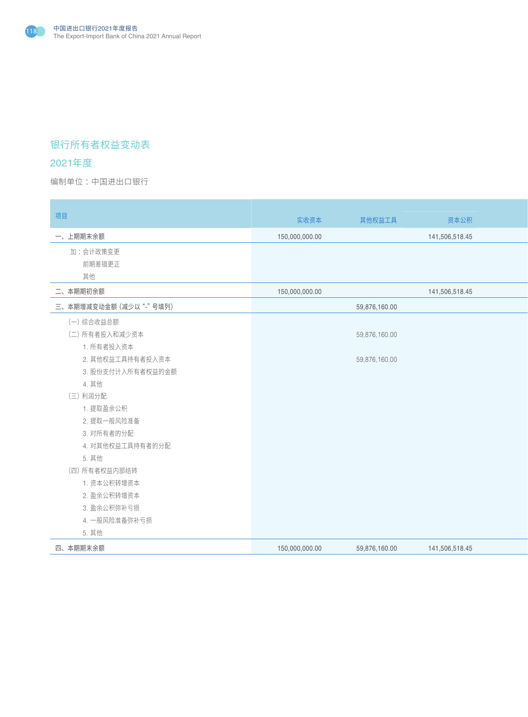

# 银行所有者权益变动表

## 2021年度

编制单位:中国进出口银行 : All and the second state of the second state of the second state of the second state of the second state of the second state of the second state of the second state of the second state of the second state o

| 项目                     | 实收资本           | 其他权益工具        | 资本公积           |
|------------------------|----------------|---------------|----------------|
| 一、上期期末余额               | 150,000,000.00 |               | 141,506,518.45 |
| 加:会计政策变更<br>前期差错更正     |                |               |                |
| 其他                     |                |               |                |
| 二、本期期初余额               | 150,000,000.00 |               | 141,506,518.45 |
| 三、本期增减变动金额 (减少以"-"号填列) |                | 59,876,160.00 |                |
| (一) 综合收益总额             |                |               |                |
| (二) 所有者投入和减少资本         |                | 59,876,160.00 |                |
| 1. 所有者投入资本             |                |               |                |
| 2. 其他权益工具持有者投入资本       |                | 59,876,160.00 |                |
| 3. 股份支付计入所有者权益的金额      |                |               |                |
| 4. 其他                  |                |               |                |
| (三) 利润分配<br>1. 提取盈余公积  |                |               |                |
| 2. 提取一般风险准备            |                |               |                |
| 3. 对所有者的分配             |                |               |                |
| 4. 对其他权益工具持有者的分配       |                |               |                |
| 5. 其他                  |                |               |                |
| (四) 所有者权益内部结转          |                |               |                |
| 1. 资本公积转增资本            |                |               |                |
| 2. 盈余公积转增资本            |                |               |                |
| 3. 盈余公积弥补亏损            |                |               |                |
| 4. 一般风险准备弥补亏损          |                |               |                |
| 5. 其他<br>四、本期期末余额      | 150,000,000.00 | 59,876,160.00 | 141,506,518.45 |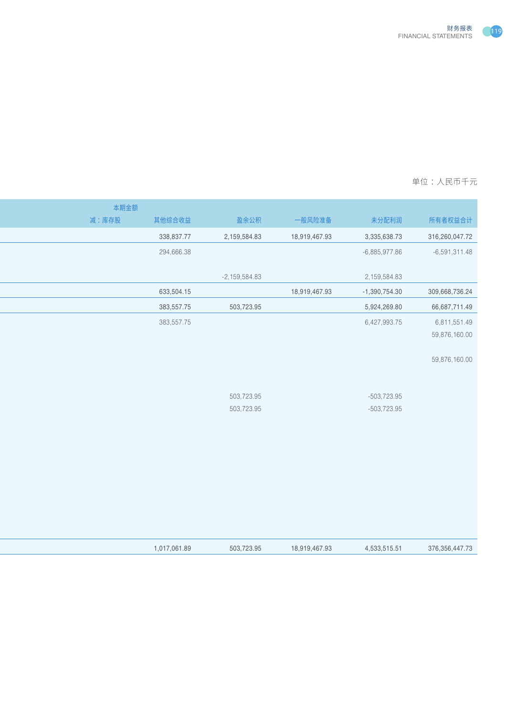

| 本期金额  |              |                 |               |                 |                   |
|-------|--------------|-----------------|---------------|-----------------|-------------------|
| 减:库存股 | 其他综合收益       | 盈余公积            | 一般风险准备        | 未分配利润           | 所有者权益合计           |
|       | 338,837.77   | 2,159,584.83    | 18,919,467.93 | 3,335,638.73    | 316,260,047.72    |
|       | 294,666.38   |                 |               | $-6,885,977.86$ | $-6,591,311.48$   |
|       |              |                 |               |                 |                   |
|       |              | $-2,159,584.83$ |               | 2,159,584.83    |                   |
|       | 633,504.15   |                 | 18,919,467.93 | $-1,390,754.30$ | 309,668,736.24    |
|       | 383,557.75   | 503,723.95      |               | 5,924,269.80    | 66,687,711.49     |
|       | 383,557.75   |                 |               | 6,427,993.75    | 6,811,551.49      |
|       |              |                 |               |                 | 59,876,160.00     |
|       |              |                 |               |                 | 59,876,160.00     |
|       |              |                 |               |                 |                   |
|       |              |                 |               |                 |                   |
|       |              | 503,723.95      |               | $-503,723.95$   |                   |
|       |              | 503,723.95      |               | $-503,723.95$   |                   |
|       |              |                 |               |                 |                   |
|       |              |                 |               |                 |                   |
|       |              |                 |               |                 |                   |
|       |              |                 |               |                 |                   |
|       |              |                 |               |                 |                   |
|       |              |                 |               |                 |                   |
|       |              |                 |               |                 |                   |
|       |              |                 |               |                 |                   |
|       | 1,017,061.89 | 503,723.95      | 18,919,467.93 | 4,533,515.51    | 376, 356, 447. 73 |
|       |              |                 |               |                 |                   |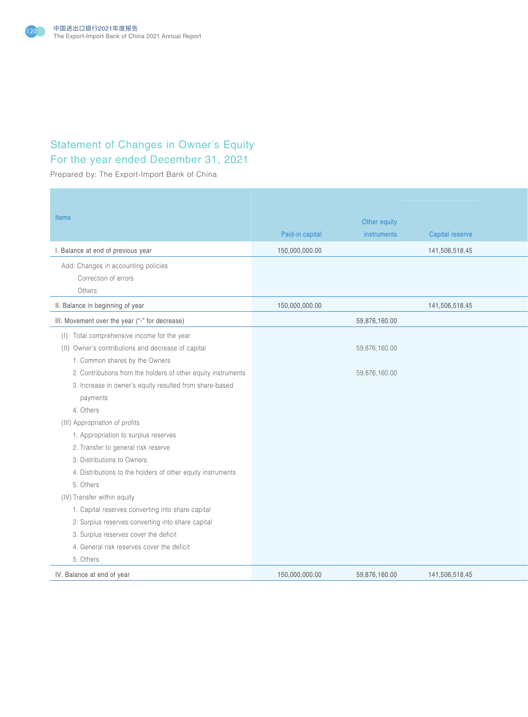

# Statement of Changes in Owner's Equity For the year ended December 31, 2021

Prepared by: The Export-Import Bank of China

| Items                                                                                                                                                                                                                                                                                                                                                                                                                                                                                                                                                                                                   | Paid-in capital | Other equity<br>instruments    | Capital reserve |
|---------------------------------------------------------------------------------------------------------------------------------------------------------------------------------------------------------------------------------------------------------------------------------------------------------------------------------------------------------------------------------------------------------------------------------------------------------------------------------------------------------------------------------------------------------------------------------------------------------|-----------------|--------------------------------|-----------------|
| I. Balance at end of previous year                                                                                                                                                                                                                                                                                                                                                                                                                                                                                                                                                                      | 150,000,000.00  |                                | 141,506,518.45  |
| Add: Changes in accounting policies<br>Correction of errors<br>Others                                                                                                                                                                                                                                                                                                                                                                                                                                                                                                                                   |                 |                                |                 |
| II. Balance in beginning of year                                                                                                                                                                                                                                                                                                                                                                                                                                                                                                                                                                        | 150,000,000.00  |                                | 141,506,518.45  |
| III. Movement over the year ("-" for decrease)                                                                                                                                                                                                                                                                                                                                                                                                                                                                                                                                                          |                 | 59,876,160.00                  |                 |
| (I) Total comprehensive income for the year<br>(II) Owner's contributions and decrease of capital<br>1. Common shares by the Owners<br>2. Contributions from the holders of other equity instruments<br>3. Increase in owner's equity resulted from share-based<br>payments<br>4. Others<br>(III) Appropriation of profits<br>1. Appropriation to surplus reserves<br>2. Transfer to general risk reserve<br>3. Distributions to Owners<br>4. Distributions to the holders of other equity instruments<br>5. Others<br>(IV) Transfer within equity<br>1. Capital reserves converting into share capital |                 | 59,876,160.00<br>59,876,160.00 |                 |
| 2. Surplus reserves converting into share capital<br>3. Surplus reserves cover the deficit                                                                                                                                                                                                                                                                                                                                                                                                                                                                                                              |                 |                                |                 |
| 4. General risk reserves cover the deficit                                                                                                                                                                                                                                                                                                                                                                                                                                                                                                                                                              |                 |                                |                 |
| 5. Others                                                                                                                                                                                                                                                                                                                                                                                                                                                                                                                                                                                               |                 | 59,876,160.00                  | 141,506,518.45  |
| IV. Balance at end of year                                                                                                                                                                                                                                                                                                                                                                                                                                                                                                                                                                              | 150,000,000.00  |                                |                 |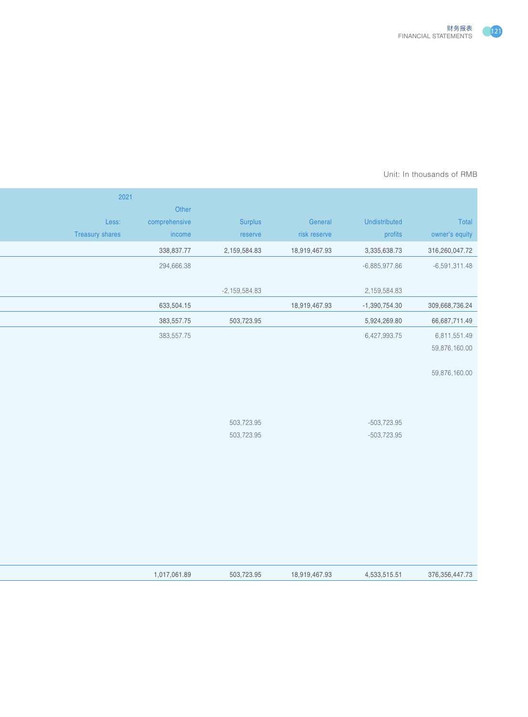

#### Prepared by: The Export-Importance Bank of AMB Unit: In thousands of RMB  $\,$

|                   |                                |               |                          |               | 2021            |
|-------------------|--------------------------------|---------------|--------------------------|---------------|-----------------|
|                   |                                |               |                          | Other         |                 |
| Total             | Undistributed                  | General       | Surplus                  | comprehensive | Less:           |
| owner's equity    | profits                        | risk reserve  | reserve                  | income        | Treasury shares |
| 316,260,047.72    | 3,335,638.73                   | 18,919,467.93 | 2,159,584.83             | 338,837.77    |                 |
| $-6,591,311.48$   | -6,885,977.86                  |               |                          | 294,666.38    |                 |
|                   |                                |               |                          |               |                 |
|                   | 2,159,584.83                   |               | $-2,159,584.83$          |               |                 |
| 309,668,736.24    | $-1,390,754.30$                | 18,919,467.93 |                          | 633,504.15    |                 |
| 66,687,711.49     | 5,924,269.80                   |               | 503,723.95               | 383,557.75    |                 |
| 6,811,551.49      | 6,427,993.75                   |               |                          | 383,557.75    |                 |
| 59,876,160.00     |                                |               |                          |               |                 |
|                   |                                |               |                          |               |                 |
| 59,876,160.00     |                                |               |                          |               |                 |
|                   |                                |               |                          |               |                 |
|                   |                                |               |                          |               |                 |
|                   |                                |               |                          |               |                 |
|                   | $-503,723.95$<br>$-503,723.95$ |               | 503,723.95<br>503,723.95 |               |                 |
|                   |                                |               |                          |               |                 |
|                   |                                |               |                          |               |                 |
|                   |                                |               |                          |               |                 |
|                   |                                |               |                          |               |                 |
|                   |                                |               |                          |               |                 |
|                   |                                |               |                          |               |                 |
|                   |                                |               |                          |               |                 |
|                   |                                |               |                          |               |                 |
|                   |                                |               |                          |               |                 |
|                   |                                |               |                          |               |                 |
| 376, 356, 447. 73 | 4,533,515.51                   | 18,919,467.93 | 503,723.95               | 1,017,061.89  |                 |
|                   |                                |               |                          |               |                 |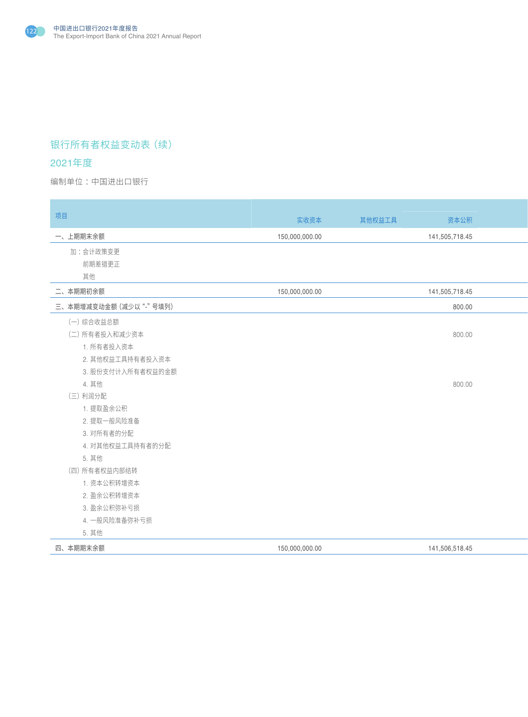

# 银行所有者权益变动表(续)

## 2021年度

编制单位:中国进出口银行 : All and the second state of the second state of the second state of the second state of the second state of the second state of the second state of the second state of the second state of the second state o

| 项目                     | 实收资本           | 其他权益工具 | 资本公积           |
|------------------------|----------------|--------|----------------|
| 一、上期期末余额               | 150,000,000.00 |        | 141,505,718.45 |
| 加:会计政策变更               |                |        |                |
| 前期差错更正                 |                |        |                |
| 其他                     |                |        |                |
| 二、本期期初余额               | 150,000,000.00 |        | 141,505,718.45 |
| 三、本期增减变动金额 (减少以"-"号填列) |                |        | 800.00         |
| (一)综合收益总额              |                |        |                |
| (二) 所有者投入和减少资本         |                |        | 800.00         |
| 1. 所有者投入资本             |                |        |                |
| 2. 其他权益工具持有者投入资本       |                |        |                |
| 3. 股份支付计入所有者权益的金额      |                |        |                |
| 4. 其他                  |                |        | 800.00         |
| (三)利润分配                |                |        |                |
| 1. 提取盈余公积              |                |        |                |
| 2. 提取一般风险准备            |                |        |                |
| 3. 对所有者的分配             |                |        |                |
| 4. 对其他权益工具持有者的分配       |                |        |                |
| 5. 其他                  |                |        |                |
| (四) 所有者权益内部结转          |                |        |                |
| 1. 资本公积转增资本            |                |        |                |
| 2. 盈余公积转增资本            |                |        |                |
| 3. 盈余公积弥补亏损            |                |        |                |
| 4. 一般风险准备弥补亏损          |                |        |                |
| 5. 其他                  |                |        |                |
| 四、本期期末余额               | 150,000,000.00 |        | 141,506,518.45 |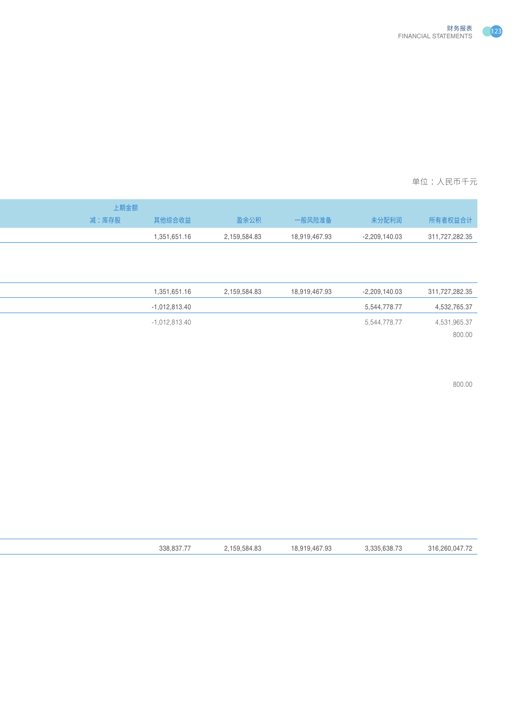

| 期金额   |              |              |               |                 |                |
|-------|--------------|--------------|---------------|-----------------|----------------|
| 减:库存股 | 其他综合收益       | 盈余公积         | 一般风险准备        | 未分配利润           | 所有者权益合计        |
|       | 1,351,651.16 | 2,159,584.83 | 18,919,467.93 | $-2,209,140.03$ | 311,727,282.35 |
|       |              |              |               |                 |                |

 $800.00$ 

| 338.837. | 159,584.83 | 18,919,467.93<br>10, 0. | 3,335,638.73 | 316,260,047.72 |
|----------|------------|-------------------------|--------------|----------------|
|          |            |                         |              |                |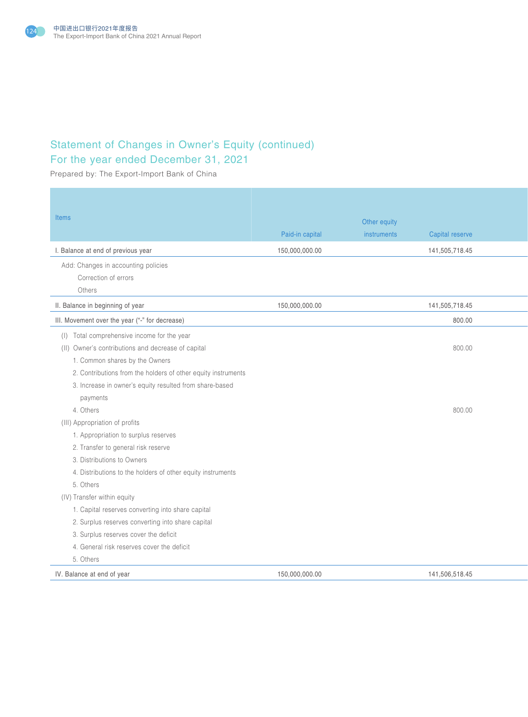

# Statement of Changes in Owner's Equity (continued) For the year ended December 31, 2021

Prepared by: The Export-Import Bank of China

| <b>Items</b>                                                  | Paid-in capital | Other equity<br>instruments | Capital reserve |
|---------------------------------------------------------------|-----------------|-----------------------------|-----------------|
| I. Balance at end of previous year                            | 150,000,000.00  |                             | 141,505,718.45  |
| Add: Changes in accounting policies                           |                 |                             |                 |
| Correction of errors                                          |                 |                             |                 |
| Others                                                        |                 |                             |                 |
| II. Balance in beginning of year                              | 150,000,000.00  |                             | 141,505,718.45  |
| III. Movement over the year ("-" for decrease)                |                 |                             | 800.00          |
| (I) Total comprehensive income for the year                   |                 |                             |                 |
| (II) Owner's contributions and decrease of capital            |                 |                             | 800.00          |
| 1. Common shares by the Owners                                |                 |                             |                 |
| 2. Contributions from the holders of other equity instruments |                 |                             |                 |
| 3. Increase in owner's equity resulted from share-based       |                 |                             |                 |
| payments                                                      |                 |                             |                 |
| 4. Others                                                     |                 |                             | 800.00          |
| (III) Appropriation of profits                                |                 |                             |                 |
| 1. Appropriation to surplus reserves                          |                 |                             |                 |
| 2. Transfer to general risk reserve                           |                 |                             |                 |
| 3. Distributions to Owners                                    |                 |                             |                 |
| 4. Distributions to the holders of other equity instruments   |                 |                             |                 |
| 5. Others                                                     |                 |                             |                 |
| (IV) Transfer within equity                                   |                 |                             |                 |
| 1. Capital reserves converting into share capital             |                 |                             |                 |
| 2. Surplus reserves converting into share capital             |                 |                             |                 |
| 3. Surplus reserves cover the deficit                         |                 |                             |                 |
| 4. General risk reserves cover the deficit                    |                 |                             |                 |
| 5. Others                                                     |                 |                             |                 |
| IV. Balance at end of year                                    | 150,000,000.00  |                             | 141,506,518.45  |